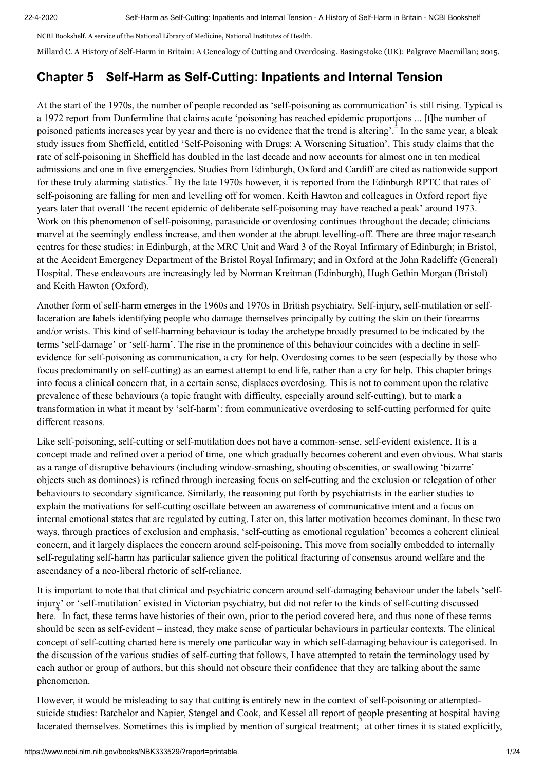NCBI Bookshelf. A service of the National Library of Medicine, National Institutes of Health.

Millard C. A History of Self-Harm in Britain: A Genealogy of Cutting and Overdosing. Basingstoke (UK): Palgrave Macmillan; 2015.

## **Chapter 5 Self-Harm as Self-Cutting: Inpatients and Internal Tension**

At the start of the 1970s, the number of people recorded as 'self-poisoning as communication' is still rising. Typical is a 1972 report from Dunfermline that claims acute 'poisoning has reached epidemic proportions ... [t]he number of 1 poisoned patients increases year by year and there is no evidence that the trend is altering'. In the same year, a bleak study issues from Sheffield, entitled 'Self-Poisoning with Drugs: A Worsening Situation'. This study claims that the rate of self-poisoning in Sheffield has doubled in the last decade and now accounts for almost one in ten medical admissions and one in five emergencies. Studies from Edinburgh, Oxford and Cardiff are cited as nationwide support for these truly alarming statistics. By the late 1970s however, it is reported from the Edinburgh RPTC that rates of self-poisoning are falling for men and levelling off for women. Keith Hawton and colleagues in Oxford report five years later that overall 'the recent epidemic of deliberate self-poisoning may have reached a peak' around 1973. Work on this phenomenon of self-poisoning, parasuicide or overdosing continues throughout the decade; clinicians marvel at the seemingly endless increase, and then wonder at the abrupt levelling-off. There are three major research centres for these studies: in Edinburgh, at the MRC Unit and Ward 3 of the Royal Infirmary of Edinburgh; in Bristol, at the Accident Emergency Department of the Bristol Royal Infirmary; and in Oxford at the John Radcliffe (General) Hospital. These endeavours are increasingly led by Norman Kreitman (Edinburgh), Hugh Gethin Morgan (Bristol) and Keith Hawton (Oxford).

Another form of self-harm emerges in the 1960s and 1970s in British psychiatry. Self-injury, self-mutilation or selflaceration are labels identifying people who damage themselves principally by cutting the skin on their forearms and/or wrists. This kind of self-harming behaviour is today the archetype broadly presumed to be indicated by the terms 'self-damage' or 'self-harm'. The rise in the prominence of this behaviour coincides with a decline in selfevidence for self-poisoning as communication, a cry for help. Overdosing comes to be seen (especially by those who focus predominantly on self-cutting) as an earnest attempt to end life, rather than a cry for help. This chapter brings into focus a clinical concern that, in a certain sense, displaces overdosing. This is not to comment upon the relative prevalence of these behaviours (a topic fraught with difficulty, especially around self-cutting), but to mark a transformation in what it meant by 'self-harm': from communicative overdosing to self-cutting performed for quite different reasons.

Like self-poisoning, self-cutting or self-mutilation does not have a common-sense, self-evident existence. It is a concept made and refined over a period of time, one which gradually becomes coherent and even obvious. What starts as a range of disruptive behaviours (including window-smashing, shouting obscenities, or swallowing 'bizarre' objects such as dominoes) is refined through increasing focus on self-cutting and the exclusion or relegation of other behaviours to secondary significance. Similarly, the reasoning put forth by psychiatrists in the earlier studies to explain the motivations for self-cutting oscillate between an awareness of communicative intent and a focus on internal emotional states that are regulated by cutting. Later on, this latter motivation becomes dominant. In these two ways, through practices of exclusion and emphasis, 'self-cutting as emotional regulation' becomes a coherent clinical concern, and it largely displaces the concern around self-poisoning. This move from socially embedded to internally self-regulating self-harm has particular salience given the political fracturing of consensus around welfare and the ascendancy of a neo-liberal rhetoric of self-reliance.

It is important to note that that clinical and psychiatric concern around self-damaging behaviour under the labels 'selfinjury' or 'self-mutilation' existed in Victorian psychiatry, but did not refer to the kinds of self-cutting discussed 4 here. In fact, these terms have histories of their own, prior to the period covered here, and thus none of these terms should be seen as self-evident – instead, they make sense of particular behaviours in particular contexts. The clinical concept of self-cutting charted here is merely one particular way in which self-damaging behaviour is categorised. In the discussion of the various studies of self-cutting that follows, I have attempted to retain the terminology used by each author or group of authors, but this should not obscure their confidence that they are talking about the same phenomenon.

However, it would be misleading to say that cutting is entirely new in the context of self-poisoning or attemptedsuicide studies: Batchelor and Napier, Stengel and Cook, and Kessel all report of people presenting at hospital having 5lacerated themselves. Sometimes this is implied by mention of surgical treatment; at other times it is stated explicitly,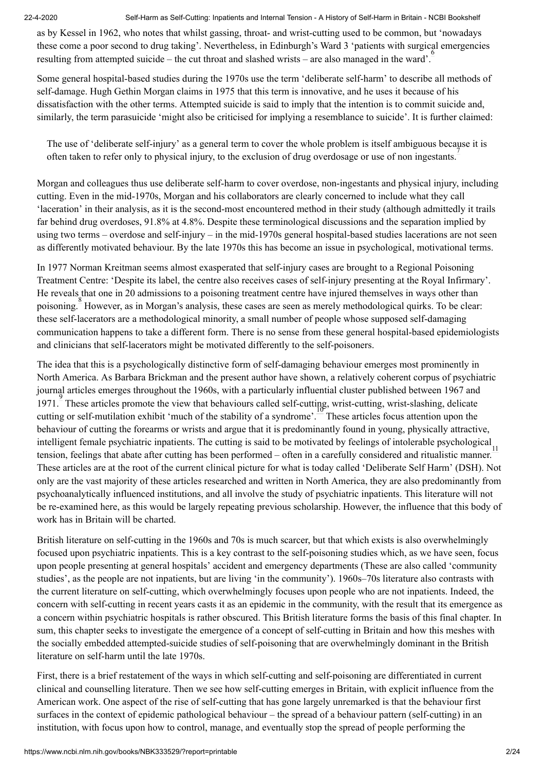as by Kessel in 1962, who notes that whilst gassing, throat- and wrist-cutting used to be common, but 'nowadays these come a poor second to drug taking'. Nevertheless, in Edinburgh's Ward 3 'patients with surgical emergencies resulting from attempted suicide – the cut throat and slashed wrists – are also managed in the ward'.<sup>6</sup>

Some general hospital-based studies during the 1970s use the term 'deliberate self-harm' to describe all methods of self-damage. Hugh Gethin Morgan claims in 1975 that this term is innovative, and he uses it because of his dissatisfaction with the other terms. Attempted suicide is said to imply that the intention is to commit suicide and, similarly, the term parasuicide 'might also be criticised for implying a resemblance to suicide'. It is further claimed:

The use of 'deliberate self-injury' as a general term to cover the whole problem is itself ambiguous because it is often taken to refer only to physical injury, to the exclusion of drug overdosage or use of non ingestants.

Morgan and colleagues thus use deliberate self-harm to cover overdose, non-ingestants and physical injury, including cutting. Even in the mid-1970s, Morgan and his collaborators are clearly concerned to include what they call 'laceration' in their analysis, as it is the second-most encountered method in their study (although admittedly it trails far behind drug overdoses, 91.8% at 4.8%. Despite these terminological discussions and the separation implied by using two terms – overdose and self-injury – in the mid-1970s general hospital-based studies lacerations are not seen as differently motivated behaviour. By the late 1970s this has become an issue in psychological, motivational terms.

In 1977 Norman Kreitman seems almost exasperated that self-injury cases are brought to a Regional Poisoning Treatment Centre: 'Despite its label, the centre also receives cases of self-injury presenting at the Royal Infirmary'. He reveals that one in 20 admissions to a poisoning treatment centre have injured themselves in ways other than poisoning. However, as in Morgan's analysis, these cases are seen as merely methodological quirks. To be clear: these self-lacerators are a methodological minority, a small number of people whose supposed self-damaging communication happens to take a different form. There is no sense from these general hospital-based epidemiologists and clinicians that self-lacerators might be motivated differently to the self-poisoners.

The idea that this is a psychologically distinctive form of self-damaging behaviour emerges most prominently in North America. As Barbara Brickman and the present author have shown, a relatively coherent corpus of psychiatric journal articles emerges throughout the 1960s, with a particularly influential cluster published between 1967 and  $1971.$ <sup>9</sup> These articles promote the view that behaviours called self-cutting, wrist-cutting, wrist-slashing, delicate cutting or self-mutilation exhibit 'much of the stability of a syndrome'.<sup>These</sup> articles focus attention upon the behaviour of cutting the forearms or wrists and argue that it is predominantly found in young, physically attractive, intelligent female psychiatric inpatients. The cutting is said to be motivated by feelings of intolerable psychological 11tension, feelings that abate after cutting has been performed – often in a carefully considered and ritualistic manner. These articles are at the root of the current clinical picture for what is today called 'Deliberate Self Harm' (DSH). Not only are the vast majority of these articles researched and written in North America, they are also predominantly from psychoanalytically influenced institutions, and all involve the study of psychiatric inpatients. This literature will not be re-examined here, as this would be largely repeating previous scholarship. However, the influence that this body of work has in Britain will be charted.

British literature on self-cutting in the 1960s and 70s is much scarcer, but that which exists is also overwhelmingly focused upon psychiatric inpatients. This is a key contrast to the self-poisoning studies which, as we have seen, focus upon people presenting at general hospitals' accident and emergency departments (These are also called 'community studies', as the people are not inpatients, but are living 'in the community'). 1960s–70s literature also contrasts with the current literature on self-cutting, which overwhelmingly focuses upon people who are not inpatients. Indeed, the concern with self-cutting in recent years casts it as an epidemic in the community, with the result that its emergence as a concern within psychiatric hospitals is rather obscured. This British literature forms the basis of this final chapter. In sum, this chapter seeks to investigate the emergence of a concept of self-cutting in Britain and how this meshes with the socially embedded attempted-suicide studies of self-poisoning that are overwhelmingly dominant in the British literature on self-harm until the late 1970s.

First, there is a brief restatement of the ways in which self-cutting and self-poisoning are differentiated in current clinical and counselling literature. Then we see how self-cutting emerges in Britain, with explicit influence from the American work. One aspect of the rise of self-cutting that has gone largely unremarked is that the behaviour first surfaces in the context of epidemic pathological behaviour – the spread of a behaviour pattern (self-cutting) in an institution, with focus upon how to control, manage, and eventually stop the spread of people performing the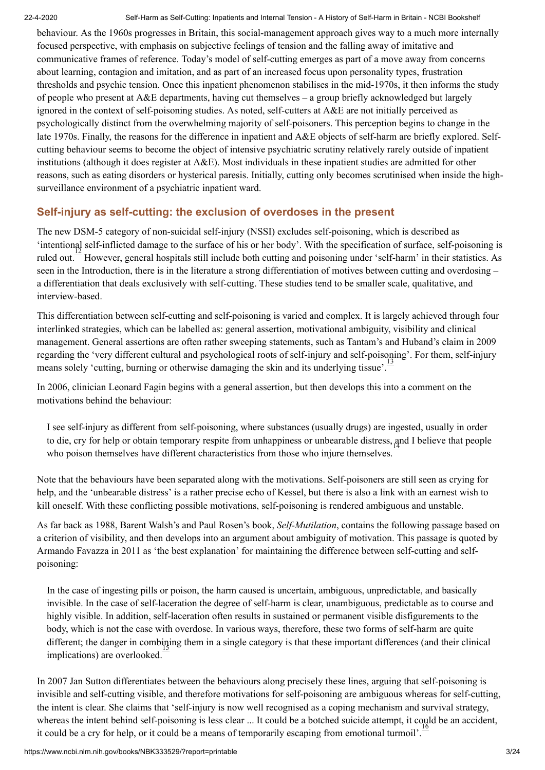behaviour. As the 1960s progresses in Britain, this social-management approach gives way to a much more internally focused perspective, with emphasis on subjective feelings of tension and the falling away of imitative and communicative frames of reference. Today's model of self-cutting emerges as part of a move away from concerns about learning, contagion and imitation, and as part of an increased focus upon personality types, frustration thresholds and psychic tension. Once this inpatient phenomenon stabilises in the mid-1970s, it then informs the study of people who present at  $A\&E$  departments, having cut themselves – a group briefly acknowledged but largely ignored in the context of self-poisoning studies. As noted, self-cutters at A&E are not initially perceived as psychologically distinct from the overwhelming majority of self-poisoners. This perception begins to change in the late 1970s. Finally, the reasons for the difference in inpatient and A&E objects of self-harm are briefly explored. Selfcutting behaviour seems to become the object of intensive psychiatric scrutiny relatively rarely outside of inpatient institutions (although it does register at A&E). Most individuals in these inpatient studies are admitted for other reasons, such as eating disorders or hysterical paresis. Initially, cutting only becomes scrutinised when inside the highsurveillance environment of a psychiatric inpatient ward.

## **Self-injury as self-cutting: the exclusion of overdoses in the present**

The new DSM-5 category of non-suicidal self-injury (NSSI) excludes self-poisoning, which is described as 'intentional self-inflicted damage to the surface of his or her body'. With the specification of surface, self-poisoning is ruled out.<sup>2</sup> However, general hospitals still include both cutting and poisoning under 'self-harm' in their statistics. As seen in the Introduction, there is in the literature a strong differentiation of motives between cutting and overdosing – a differentiation that deals exclusively with self-cutting. These studies tend to be smaller scale, qualitative, and interview-based.

This differentiation between self-cutting and self-poisoning is varied and complex. It is largely achieved through four interlinked strategies, which can be labelled as: general assertion, motivational ambiguity, visibility and clinical management. General assertions are often rather sweeping statements, such as Tantam's and Huband's claim in 2009 regarding the 'very different cultural and psychological roots of self-injury and self-poisoning'. For them, self-injury 13 means solely 'cutting, burning or otherwise damaging the skin and its underlying tissue'.

In 2006, clinician Leonard Fagin begins with a general assertion, but then develops this into a comment on the motivations behind the behaviour:

I see self-injury as different from self-poisoning, where substances (usually drugs) are ingested, usually in order to die, cry for help or obtain temporary respite from unhappiness or unbearable distress, and I believe that people who poison themselves have different characteristics from those who injure themselves.

Note that the behaviours have been separated along with the motivations. Self-poisoners are still seen as crying for help, and the 'unbearable distress' is a rather precise echo of Kessel, but there is also a link with an earnest wish to kill oneself. With these conflicting possible motivations, self-poisoning is rendered ambiguous and unstable.

As far back as 1988, Barent Walsh's and Paul Rosen's book, *Self-Mutilation*, contains the following passage based on a criterion of visibility, and then develops into an argument about ambiguity of motivation. This passage is quoted by Armando Favazza in 2011 as 'the best explanation' for maintaining the difference between self-cutting and selfpoisoning:

In the case of ingesting pills or poison, the harm caused is uncertain, ambiguous, unpredictable, and basically invisible. In the case of self-laceration the degree of self-harm is clear, unambiguous, predictable as to course and highly visible. In addition, self-laceration often results in sustained or permanent visible disfigurements to the body, which is not the case with overdose. In various ways, therefore, these two forms of self-harm are quite different; the danger in combining them in a single category is that these important differences (and their clinical implications) are overlooked.

In 2007 Jan Sutton differentiates between the behaviours along precisely these lines, arguing that self-poisoning is invisible and self-cutting visible, and therefore motivations for self-poisoning are ambiguous whereas for self-cutting, the intent is clear. She claims that 'self-injury is now well recognised as a coping mechanism and survival strategy, whereas the intent behind self-poisoning is less clear ... It could be a botched suicide attempt, it could be an accident, it could be a cry for help, or it could be a means of temporarily escaping from emotional turmoil'.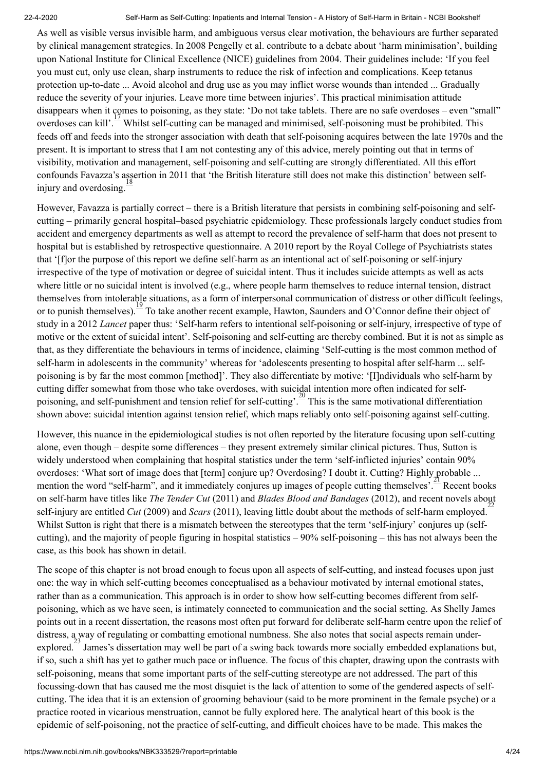As well as visible versus invisible harm, and ambiguous versus clear motivation, the behaviours are further separated by clinical management strategies. In 2008 Pengelly et al. contribute to a debate about 'harm minimisation', building upon National Institute for Clinical Excellence (NICE) guidelines from 2004. Their guidelines include: 'If you feel you must cut, only use clean, sharp instruments to reduce the risk of infection and complications. Keep tetanus protection up-to-date ... Avoid alcohol and drug use as you may inflict worse wounds than intended ... Gradually reduce the severity of your injuries. Leave more time between injuries'. This practical minimisation attitude disappears when it comes to poisoning, as they state: 'Do not take tablets. There are no safe overdoses – even "small" overdoses can kill'.<sup>17</sup> Whilst self-cutting can be managed and minimised, self-poisoning must be prohibited. This feeds off and feeds into the stronger association with death that self-poisoning acquires between the late 1970s and the present. It is important to stress that I am not contesting any of this advice, merely pointing out that in terms of visibility, motivation and management, self-poisoning and self-cutting are strongly differentiated. All this effort confounds Favazza's assertion in 2011 that 'the British literature still does not make this distinction' between self-18 injury and overdosing.

However, Favazza is partially correct – there is a British literature that persists in combining self-poisoning and selfcutting – primarily general hospital–based psychiatric epidemiology. These professionals largely conduct studies from accident and emergency departments as well as attempt to record the prevalence of self-harm that does not present to hospital but is established by retrospective questionnaire. A 2010 report by the Royal College of Psychiatrists states that '[f]or the purpose of this report we define self-harm as an intentional act of self-poisoning or self-injury irrespective of the type of motivation or degree of suicidal intent. Thus it includes suicide attempts as well as acts where little or no suicidal intent is involved (e.g., where people harm themselves to reduce internal tension, distract themselves from intolerable situations, as a form of interpersonal communication of distress or other difficult feelings, or to punish themselves). To take another recent example, Hawton, Saunders and O'Connor define their object of study in a 2012 *Lancet* paper thus: 'Self-harm refers to intentional self-poisoning or self-injury, irrespective of type of motive or the extent of suicidal intent'. Self-poisoning and self-cutting are thereby combined. But it is not as simple as that, as they differentiate the behaviours in terms of incidence, claiming 'Self-cutting is the most common method of self-harm in adolescents in the community' whereas for 'adolescents presenting to hospital after self-harm ... selfpoisoning is by far the most common [method]'. They also differentiate by motive: '[I]ndividuals who self-harm by cutting differ somewhat from those who take overdoses, with suicidal intention more often indicated for selfpoisoning, and self-punishment and tension relief for self-cutting'. This is the same motivational differentiation shown above: suicidal intention against tension relief, which maps reliably onto self-poisoning against self-cutting.

However, this nuance in the epidemiological studies is not often reported by the literature focusing upon self-cutting alone, even though – despite some differences – they present extremely similar clinical pictures. Thus, Sutton is widely understood when complaining that hospital statistics under the term 'self-inflicted injuries' contain 90% overdoses: 'What sort of image does that [term] conjure up? Overdosing? I doubt it. Cutting? Highly probable ... mention the word "self-harm", and it immediately conjures up images of people cutting themselves'. Recent books on self-harm have titles like *The Tender Cut* (2011) and *Blades Blood and Bandages* (2012), and recent novels about 22 self-injury are entitled *Cut* (2009) and *Scars* (2011), leaving little doubt about the methods of self-harm employed. Whilst Sutton is right that there is a mismatch between the stereotypes that the term 'self-injury' conjures up (selfcutting), and the majority of people figuring in hospital statistics – 90% self-poisoning – this has not always been the case, as this book has shown in detail.

The scope of this chapter is not broad enough to focus upon all aspects of self-cutting, and instead focuses upon just one: the way in which self-cutting becomes conceptualised as a behaviour motivated by internal emotional states, rather than as a communication. This approach is in order to show how self-cutting becomes different from selfpoisoning, which as we have seen, is intimately connected to communication and the social setting. As Shelly James points out in a recent dissertation, the reasons most often put forward for deliberate self-harm centre upon the relief of distress, a way of regulating or combatting emotional numbness. She also notes that social aspects remain underexplored.<sup>23</sup> James's dissertation may well be part of a swing back towards more socially embedded explanations but, if so, such a shift has yet to gather much pace or influence. The focus of this chapter, drawing upon the contrasts with self-poisoning, means that some important parts of the self-cutting stereotype are not addressed. The part of this focussing-down that has caused me the most disquiet is the lack of attention to some of the gendered aspects of selfcutting. The idea that it is an extension of grooming behaviour (said to be more prominent in the female psyche) or a practice rooted in vicarious menstruation, cannot be fully explored here. The analytical heart of this book is the epidemic of self-poisoning, not the practice of self-cutting, and difficult choices have to be made. This makes the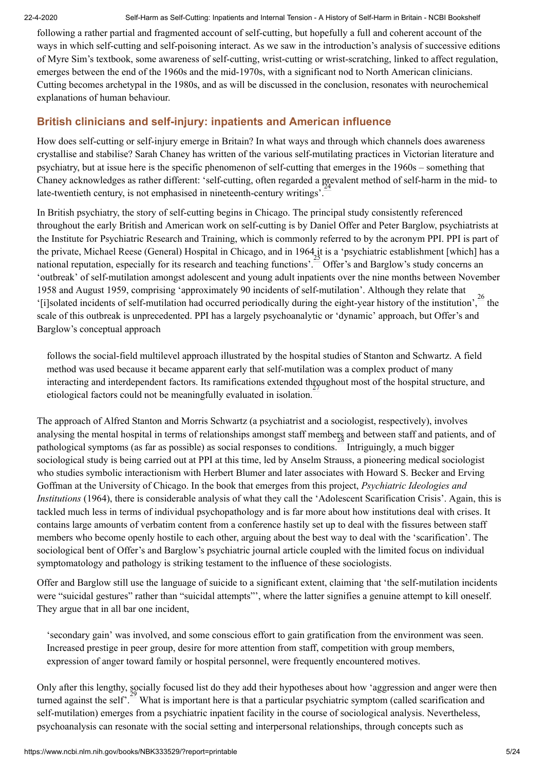following a rather partial and fragmented account of self-cutting, but hopefully a full and coherent account of the ways in which self-cutting and self-poisoning interact. As we saw in the introduction's analysis of successive editions of Myre Sim's textbook, some awareness of self-cutting, wrist-cutting or wrist-scratching, linked to affect regulation, emerges between the end of the 1960s and the mid-1970s, with a significant nod to North American clinicians. Cutting becomes archetypal in the 1980s, and as will be discussed in the conclusion, resonates with neurochemical explanations of human behaviour.

## **British clinicians and self-injury: inpatients and American influence**

How does self-cutting or self-injury emerge in Britain? In what ways and through which channels does awareness crystallise and stabilise? Sarah Chaney has written of the various self-mutilating practices in Victorian literature and psychiatry, but at issue here is the specific phenomenon of self-cutting that emerges in the 1960s – something that Chaney acknowledges as rather different: 'self-cutting, often regarded a prevalent method of self-harm in the mid- to 24 late-twentieth century, is not emphasised in nineteenth-century writings'.

In British psychiatry, the story of self-cutting begins in Chicago. The principal study consistently referenced throughout the early British and American work on self-cutting is by Daniel Offer and Peter Barglow, psychiatrists at the Institute for Psychiatric Research and Training, which is commonly referred to by the acronym PPI. PPI is part of the private, Michael Reese (General) Hospital in Chicago, and in 1964 it is a 'psychiatric establishment [which] has a national reputation, especially for its research and teaching functions'. Offer's and Barglow's study concerns an 'outbreak' of self-mutilation amongst adolescent and young adult inpatients over the nine months between November 1958 and August 1959, comprising 'approximately 90 incidents of self-mutilation'. Although they relate that  $\cdot$ [i]solated incidents of self-mutilation had occurred periodically during the eight-year history of the institution',  $\frac{26}{\pi}$  the scale of this outbreak is unprecedented. PPI has a largely psychoanalytic or 'dynamic' approach, but Offer's and Barglow's conceptual approach

follows the social-field multilevel approach illustrated by the hospital studies of Stanton and Schwartz. A field method was used because it became apparent early that self-mutilation was a complex product of many interacting and interdependent factors. Its ramifications extended throughout most of the hospital structure, and etiological factors could not be meaningfully evaluated in isolation.

The approach of Alfred Stanton and Morris Schwartz (a psychiatrist and a sociologist, respectively), involves analysing the mental hospital in terms of relationships amongst staff members and between staff and patients, and of pathological symptoms (as far as possible) as social responses to conditions.  $\frac{1}{\sqrt{2}}$  Intriguingly, a much bigger sociological study is being carried out at PPI at this time, led by Anselm Strauss, a pioneering medical sociologist who studies symbolic interactionism with Herbert Blumer and later associates with Howard S. Becker and Erving Goffman at the University of Chicago. In the book that emerges from this project, *Psychiatric Ideologies and Institutions* (1964), there is considerable analysis of what they call the 'Adolescent Scarification Crisis'. Again, this is tackled much less in terms of individual psychopathology and is far more about how institutions deal with crises. It contains large amounts of verbatim content from a conference hastily set up to deal with the fissures between staff members who become openly hostile to each other, arguing about the best way to deal with the 'scarification'. The sociological bent of Offer's and Barglow's psychiatric journal article coupled with the limited focus on individual symptomatology and pathology is striking testament to the influence of these sociologists.

Offer and Barglow still use the language of suicide to a significant extent, claiming that 'the self-mutilation incidents were "suicidal gestures" rather than "suicidal attempts"', where the latter signifies a genuine attempt to kill oneself. They argue that in all bar one incident,

'secondary gain' was involved, and some conscious effort to gain gratification from the environment was seen. Increased prestige in peer group, desire for more attention from staff, competition with group members, expression of anger toward family or hospital personnel, were frequently encountered motives.

Only after this lengthy, socially focused list do they add their hypotheses about how 'aggression and anger were then turned against the self'. What is important here is that a particular psychiatric symptom (called scarification and  $\frac{29}{2}$ self-mutilation) emerges from a psychiatric inpatient facility in the course of sociological analysis. Nevertheless, psychoanalysis can resonate with the social setting and interpersonal relationships, through concepts such as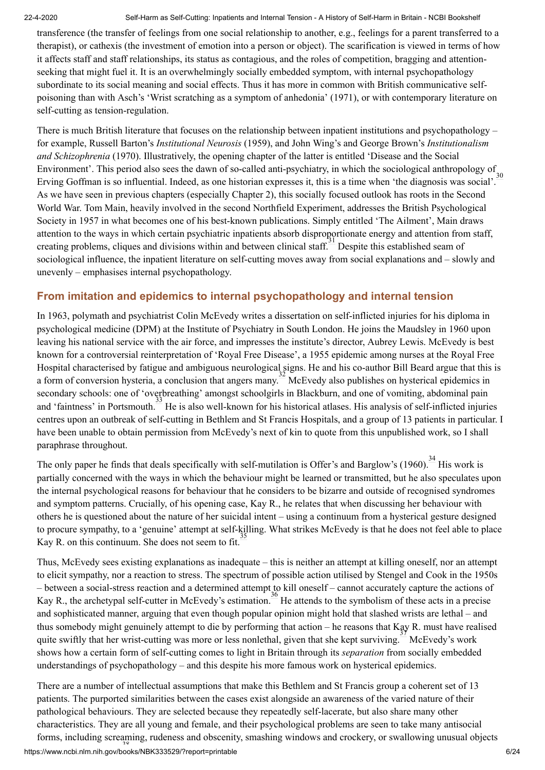transference (the transfer of feelings from one social relationship to another, e.g., feelings for a parent transferred to a therapist), or cathexis (the investment of emotion into a person or object). The scarification is viewed in terms of how it affects staff and staff relationships, its status as contagious, and the roles of competition, bragging and attentionseeking that might fuel it. It is an overwhelmingly socially embedded symptom, with internal psychopathology subordinate to its social meaning and social effects. Thus it has more in common with British communicative selfpoisoning than with Asch's 'Wrist scratching as a symptom of anhedonia' (1971), or with contemporary literature on self-cutting as tension-regulation.

There is much British literature that focuses on the relationship between inpatient institutions and psychopathology – for example, Russell Barton's *Institutional Neurosis* (1959), and John Wing's and George Brown's *Institutionalism and Schizophrenia* (1970). Illustratively, the opening chapter of the latter is entitled 'Disease and the Social Environment'. This period also sees the dawn of so-called anti-psychiatry, in which the sociological anthropology of <sub>30</sub> Erving Goffman is so influential. Indeed, as one historian expresses it, this is a time when 'the diagnosis was social'. As we have seen in previous chapters (especially [Chapter](https://www.ncbi.nlm.nih.gov/books/n/wt605801/wt605801_ch2/) 2), this socially focused outlook has roots in the Second World War. Tom Main, heavily involved in the second Northfield Experiment, addresses the British Psychological Society in 1957 in what becomes one of his best-known publications. Simply entitled 'The Ailment', Main draws attention to the ways in which certain psychiatric inpatients absorb disproportionate energy and attention from staff, creating problems, cliques and divisions within and between clinical staff. Despite this established seam of sociological influence, the inpatient literature on self-cutting moves away from social explanations and – slowly and unevenly – emphasises internal psychopathology.

## **From imitation and epidemics to internal psychopathology and internal tension**

In 1963, polymath and psychiatrist Colin McEvedy writes a dissertation on self-inflicted injuries for his diploma in psychological medicine (DPM) at the Institute of Psychiatry in South London. He joins the Maudsley in 1960 upon leaving his national service with the air force, and impresses the institute's director, Aubrey Lewis. McEvedy is best known for a controversial reinterpretation of 'Royal Free Disease', a 1955 epidemic among nurses at the Royal Free Hospital characterised by fatigue and ambiguous neurological signs. He and his co-author Bill Beard argue that this is a form of conversion hysteria, a conclusion that angers many.<sup>2</sup> McEvedy also publishes on hysterical epidemics in secondary schools: one of 'overbreathing' amongst schoolgirls in Blackburn, and one of vomiting, abdominal pain and 'faintness' in Portsmouth.<sup>33</sup> He is also well-known for his historical atlases. His analysis of self-inflicted injuries centres upon an outbreak of self-cutting in Bethlem and St Francis Hospitals, and a group of 13 patients in particular. I have been unable to obtain permission from McEvedy's next of kin to quote from this unpublished work, so I shall paraphrase throughout.

The only paper he finds that deals specifically with self-mutilation is Offer's and Barglow's (1960).  $\frac{34}{15}$  His work is partially concerned with the ways in which the behaviour might be learned or transmitted, but he also speculates upon the internal psychological reasons for behaviour that he considers to be bizarre and outside of recognised syndromes and symptom patterns. Crucially, of his opening case, Kay R., he relates that when discussing her behaviour with others he is questioned about the nature of her suicidal intent – using a continuum from a hysterical gesture designed to procure sympathy, to a 'genuine' attempt at self-killing. What strikes McEvedy is that he does not feel able to place Kay R. on this continuum. She does not seem to fit.

Thus, McEvedy sees existing explanations as inadequate – this is neither an attempt at killing oneself, nor an attempt to elicit sympathy, nor a reaction to stress. The spectrum of possible action utilised by Stengel and Cook in the 1950s – between a social-stress reaction and a determined attempt to kill oneself – cannot accurately capture the actions of Kay R., the archetypal self-cutter in McEvedy's estimation.<sup>8</sup> He attends to the symbolism of these acts in a precise and sophisticated manner, arguing that even though popular opinion might hold that slashed wrists are lethal – and thus somebody might genuinely attempt to die by performing that action – he reasons that Kay R. must have realised quite swiftly that her wrist-cutting was more or less nonlethal, given that she kept surviving. McEvedy's work shows how a certain form of self-cutting comes to light in Britain through its *separation* from socially embedded understandings of psychopathology – and this despite his more famous work on hysterical epidemics.

There are a number of intellectual assumptions that make this Bethlem and St Francis group a coherent set of 13 patients. The purported similarities between the cases exist alongside an awareness of the varied nature of their pathological behaviours. They are selected because they repeatedly self-lacerate, but also share many other characteristics. They are all young and female, and their psychological problems are seen to take many antisocial forms, including screaming, rudeness and obscenity, smashing windows and crockery, or swallowing unusual objects 38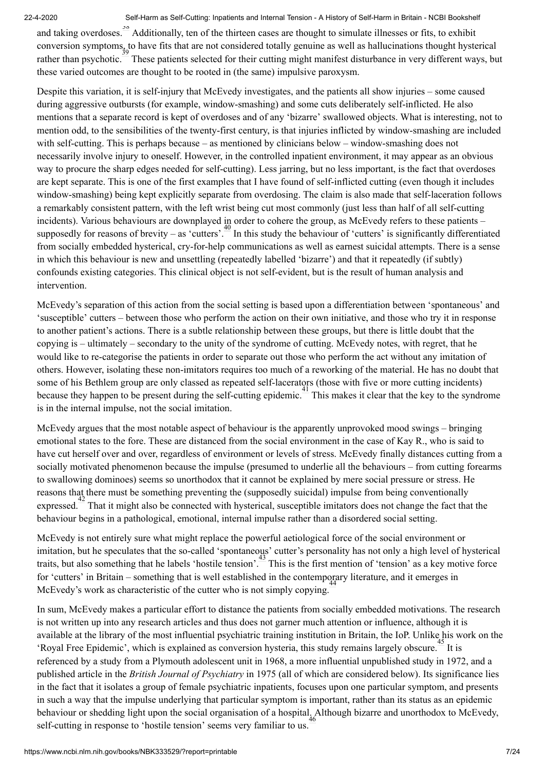and taking overdoses.<sup>26</sup> Additionally, ten of the thirteen cases are thought to simulate illnesses or fits, to exhibit conversion symptoms, to have fits that are not considered totally genuine as well as hallucinations thought hysterical  $\frac{39}{2}$ rather than psychotic.<sup>22</sup> These patients selected for their cutting might manifest disturbance in very different ways, but these varied outcomes are thought to be rooted in (the same) impulsive paroxysm.

Despite this variation, it is self-injury that McEvedy investigates, and the patients all show injuries – some caused during aggressive outbursts (for example, window-smashing) and some cuts deliberately self-inflicted. He also mentions that a separate record is kept of overdoses and of any 'bizarre' swallowed objects. What is interesting, not to mention odd, to the sensibilities of the twenty-first century, is that injuries inflicted by window-smashing are included with self-cutting. This is perhaps because – as mentioned by clinicians below – window-smashing does not necessarily involve injury to oneself. However, in the controlled inpatient environment, it may appear as an obvious way to procure the sharp edges needed for self-cutting). Less jarring, but no less important, is the fact that overdoses are kept separate. This is one of the first examples that I have found of self-inflicted cutting (even though it includes window-smashing) being kept explicitly separate from overdosing. The claim is also made that self-laceration follows a remarkably consistent pattern, with the left wrist being cut most commonly (just less than half of all self-cutting incidents). Various behaviours are downplayed in order to cohere the group, as McEvedy refers to these patients – supposedly for reasons of brevity – as 'cutters'.  $\frac{40}{1}$  In this study the behaviour of 'cutters' is significantly differentiated from socially embedded hysterical, cry-for-help communications as well as earnest suicidal attempts. There is a sense in which this behaviour is new and unsettling (repeatedly labelled 'bizarre') and that it repeatedly (if subtly) confounds existing categories. This clinical object is not self-evident, but is the result of human analysis and intervention.

McEvedy's separation of this action from the social setting is based upon a differentiation between 'spontaneous' and 'susceptible' cutters – between those who perform the action on their own initiative, and those who try it in response to another patient's actions. There is a subtle relationship between these groups, but there is little doubt that the copying is – ultimately – secondary to the unity of the syndrome of cutting. McEvedy notes, with regret, that he would like to re-categorise the patients in order to separate out those who perform the act without any imitation of others. However, isolating these non-imitators requires too much of a reworking of the material. He has no doubt that some of his Bethlem group are only classed as repeated self-lacerators (those with five or more cutting incidents) because they happen to be present during the self-cutting epidemic. This makes it clear that the key to the syndrome is in the internal impulse, not the social imitation.

McEvedy argues that the most notable aspect of behaviour is the apparently unprovoked mood swings – bringing emotional states to the fore. These are distanced from the social environment in the case of Kay R., who is said to have cut herself over and over, regardless of environment or levels of stress. McEvedy finally distances cutting from a socially motivated phenomenon because the impulse (presumed to underlie all the behaviours – from cutting forearms to swallowing dominoes) seems so unorthodox that it cannot be explained by mere social pressure or stress. He reasons that there must be something preventing the (supposedly suicidal) impulse from being conventionally expressed. That it might also be connected with hysterical, susceptible imitators does not change the fact that the behaviour begins in a pathological, emotional, internal impulse rather than a disordered social setting.

McEvedy is not entirely sure what might replace the powerful aetiological force of the social environment or imitation, but he speculates that the so-called 'spontaneous' cutter's personality has not only a high level of hysterical traits, but also something that he labels 'hostile tension'. This is the first mention of 'tension' as a key motive force for 'cutters' in Britain – something that is well established in the contemporary literature, and it emerges in McEvedy's work as characteristic of the cutter who is not simply copying.

In sum, McEvedy makes a particular effort to distance the patients from socially embedded motivations. The research is not written up into any research articles and thus does not garner much attention or influence, although it is available at the library of the most influential psychiatric training institution in Britain, the IoP. Unlike his work on the 'Royal Free Epidemic', which is explained as conversion hysteria, this study remains largely obscure.<sup>45</sup> It is referenced by a study from a Plymouth adolescent unit in 1968, a more influential unpublished study in 1972, and a published article in the *British Journal of Psychiatry* in 1975 (all of which are considered below). Its significance lies in the fact that it isolates a group of female psychiatric inpatients, focuses upon one particular symptom, and presents in such a way that the impulse underlying that particular symptom is important, rather than its status as an epidemic behaviour or shedding light upon the social organisation of a hospital. Although bizarre and unorthodox to McEvedy, self-cutting in response to 'hostile tension' seems very familiar to us.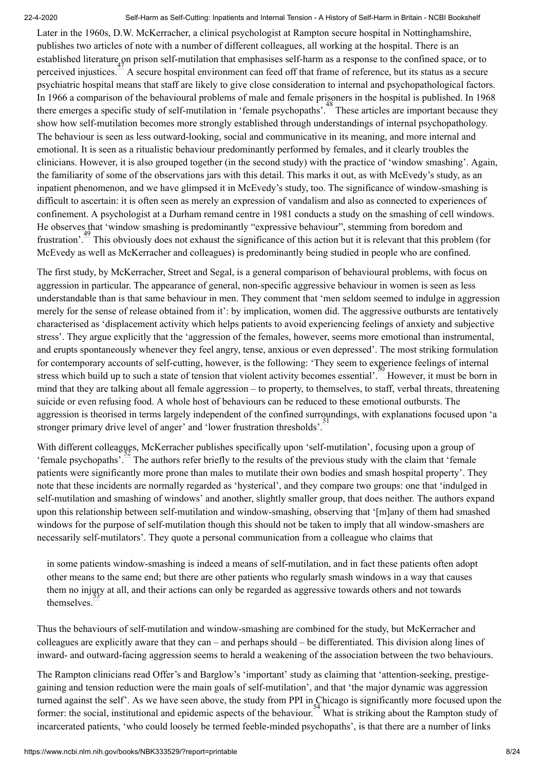Later in the 1960s, D.W. McKerracher, a clinical psychologist at Rampton secure hospital in Nottinghamshire, publishes two articles of note with a number of different colleagues, all working at the hospital. There is an established literature on prison self-mutilation that emphasises self-harm as a response to the confined space, or to perceived injustices.  $\frac{47}{1}$  A secure hospital environment can feed off that frame of reference, but its status as a secure psychiatric hospital means that staff are likely to give close consideration to internal and psychopathological factors. In 1966 a comparison of the behavioural problems of male and female prisoners in the hospital is published. In 1968 there emerges a specific study of self-mutilation in 'female psychopaths'. These articles are important because they show how self-mutilation becomes more strongly established through understandings of internal psychopathology. The behaviour is seen as less outward-looking, social and communicative in its meaning, and more internal and emotional. It is seen as a ritualistic behaviour predominantly performed by females, and it clearly troubles the clinicians. However, it is also grouped together (in the second study) with the practice of 'window smashing'. Again, the familiarity of some of the observations jars with this detail. This marks it out, as with McEvedy's study, as an inpatient phenomenon, and we have glimpsed it in McEvedy's study, too. The significance of window-smashing is difficult to ascertain: it is often seen as merely an expression of vandalism and also as connected to experiences of confinement. A psychologist at a Durham remand centre in 1981 conducts a study on the smashing of cell windows. He observes that 'window smashing is predominantly "expressive behaviour", stemming from boredom and Frustration'.<sup>49</sup> This obviously does not exhaust the significance of this action but it is relevant that this problem (for McEvedy as well as McKerracher and colleagues) is predominantly being studied in people who are confined.

The first study, by McKerracher, Street and Segal, is a general comparison of behavioural problems, with focus on aggression in particular. The appearance of general, non-specific aggressive behaviour in women is seen as less understandable than is that same behaviour in men. They comment that 'men seldom seemed to indulge in aggression merely for the sense of release obtained from it': by implication, women did. The aggressive outbursts are tentatively characterised as 'displacement activity which helps patients to avoid experiencing feelings of anxiety and subjective stress'. They argue explicitly that the 'aggression of the females, however, seems more emotional than instrumental, and erupts spontaneously whenever they feel angry, tense, anxious or even depressed'. The most striking formulation for contemporary accounts of self-cutting, however, is the following: 'They seem to experience feelings of internal stress which build up to such a state of tension that violent activity becomes essential'.<sup>50</sup> However, it must be born in mind that they are talking about all female aggression – to property, to themselves, to staff, verbal threats, threatening suicide or even refusing food. A whole host of behaviours can be reduced to these emotional outbursts. The aggression is theorised in terms largely independent of the confined surroundings, with explanations focused upon 'a stronger primary drive level of anger' and 'lower frustration thresholds'.

With different colleagues, McKerracher publishes specifically upon 'self-mutilation', focusing upon a group of 'female psychopaths'.<sup>52</sup> The authors refer briefly to the results of the previous study with the claim that 'female' patients were significantly more prone than males to mutilate their own bodies and smash hospital property'. They note that these incidents are normally regarded as 'hysterical', and they compare two groups: one that 'indulged in self-mutilation and smashing of windows' and another, slightly smaller group, that does neither. The authors expand upon this relationship between self-mutilation and window-smashing, observing that '[m]any of them had smashed windows for the purpose of self-mutilation though this should not be taken to imply that all window-smashers are necessarily self-mutilators'. They quote a personal communication from a colleague who claims that

in some patients window-smashing is indeed a means of self-mutilation, and in fact these patients often adopt other means to the same end; but there are other patients who regularly smash windows in a way that causes them no injury at all, and their actions can only be regarded as aggressive towards others and not towards themselves.

Thus the behaviours of self-mutilation and window-smashing are combined for the study, but McKerracher and colleagues are explicitly aware that they can – and perhaps should – be differentiated. This division along lines of inward- and outward-facing aggression seems to herald a weakening of the association between the two behaviours.

The Rampton clinicians read Offer's and Barglow's 'important' study as claiming that 'attention-seeking, prestigegaining and tension reduction were the main goals of self-mutilation', and that 'the major dynamic was aggression turned against the self'. As we have seen above, the study from PPI in Chicago is significantly more focused upon the former: the social, institutional and epidemic aspects of the behaviour. What is striking about the Rampton study of incarcerated patients, 'who could loosely be termed feeble-minded psychopaths', is that there are a number of links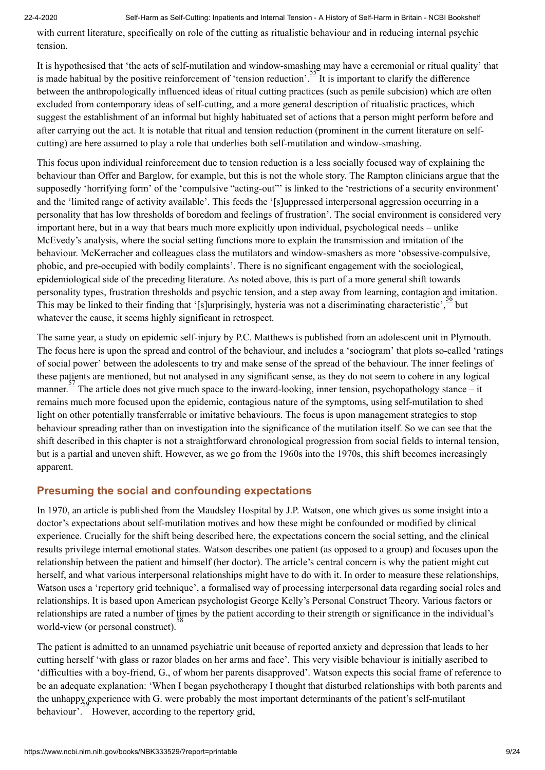with current literature, specifically on role of the cutting as ritualistic behaviour and in reducing internal psychic tension.

It is hypothesised that 'the acts of self-mutilation and window-smashing may have a ceremonial or ritual quality' that is made habitual by the positive reinforcement of 'tension reduction'.<sup>55</sup> It is important to clarify the difference between the anthropologically influenced ideas of ritual cutting practices (such as penile subcision) which are often excluded from contemporary ideas of self-cutting, and a more general description of ritualistic practices, which suggest the establishment of an informal but highly habituated set of actions that a person might perform before and after carrying out the act. It is notable that ritual and tension reduction (prominent in the current literature on selfcutting) are here assumed to play a role that underlies both self-mutilation and window-smashing.

This focus upon individual reinforcement due to tension reduction is a less socially focused way of explaining the behaviour than Offer and Barglow, for example, but this is not the whole story. The Rampton clinicians argue that the supposedly 'horrifying form' of the 'compulsive "acting-out"' is linked to the 'restrictions of a security environment' and the 'limited range of activity available'. This feeds the '[s]uppressed interpersonal aggression occurring in a personality that has low thresholds of boredom and feelings of frustration'. The social environment is considered very important here, but in a way that bears much more explicitly upon individual, psychological needs – unlike McEvedy's analysis, where the social setting functions more to explain the transmission and imitation of the behaviour. McKerracher and colleagues class the mutilators and window-smashers as more 'obsessive-compulsive, phobic, and pre-occupied with bodily complaints'. There is no significant engagement with the sociological, epidemiological side of the preceding literature. As noted above, this is part of a more general shift towards personality types, frustration thresholds and psychic tension, and a step away from learning, contagion and imitation. This may be linked to their finding that '[s]urprisingly, hysteria was not a discriminating characteristic',  $\frac{56}{5}$  but whatever the cause, it seems highly significant in retrospect.

The same year, a study on epidemic self-injury by P.C. Matthews is published from an adolescent unit in Plymouth. The focus here is upon the spread and control of the behaviour, and includes a 'sociogram' that plots so-called 'ratings of social power' between the adolescents to try and make sense of the spread of the behaviour. The inner feelings of these patients are mentioned, but not analysed in any significant sense, as they do not seem to cohere in any logical manner. The article does not give much space to the inward-looking, inner tension, psychopathology stance – it remains much more focused upon the epidemic, contagious nature of the symptoms, using self-mutilation to shed light on other potentially transferrable or imitative behaviours. The focus is upon management strategies to stop behaviour spreading rather than on investigation into the significance of the mutilation itself. So we can see that the shift described in this chapter is not a straightforward chronological progression from social fields to internal tension, but is a partial and uneven shift. However, as we go from the 1960s into the 1970s, this shift becomes increasingly apparent.

## **Presuming the social and confounding expectations**

In 1970, an article is published from the Maudsley Hospital by J.P. Watson, one which gives us some insight into a doctor's expectations about self-mutilation motives and how these might be confounded or modified by clinical experience. Crucially for the shift being described here, the expectations concern the social setting, and the clinical results privilege internal emotional states. Watson describes one patient (as opposed to a group) and focuses upon the relationship between the patient and himself (her doctor). The article's central concern is why the patient might cut herself, and what various interpersonal relationships might have to do with it. In order to measure these relationships, Watson uses a 'repertory grid technique', a formalised way of processing interpersonal data regarding social roles and relationships. It is based upon American psychologist George Kelly's Personal Construct Theory. Various factors or relationships are rated a number of times by the patient according to their strength or significance in the individual's world-view (or personal construct).

The patient is admitted to an unnamed psychiatric unit because of reported anxiety and depression that leads to her cutting herself 'with glass or razor blades on her arms and face'. This very visible behaviour is initially ascribed to 'difficulties with a boy-friend, G., of whom her parents disapproved'. Watson expects this social frame of reference to be an adequate explanation: 'When I began psychotherapy I thought that disturbed relationships with both parents and the unhappy experience with G. were probably the most important determinants of the patient's self-mutilant behaviour'. However, according to the repertory grid,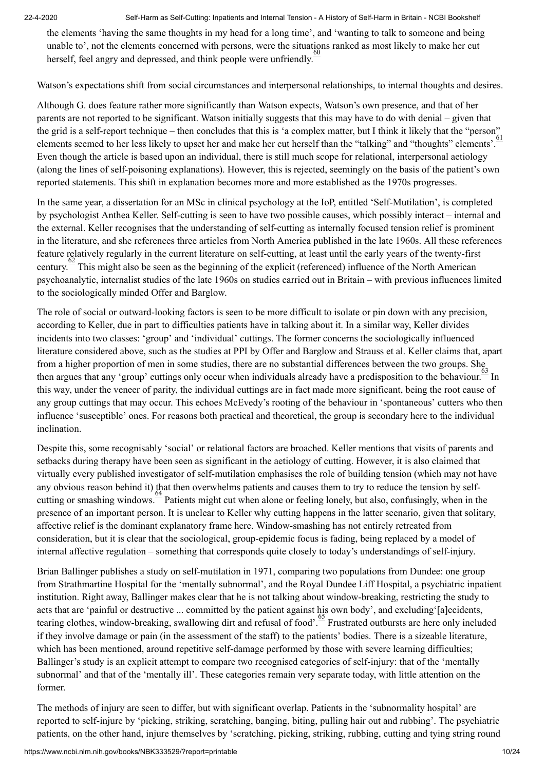the elements 'having the same thoughts in my head for a long time', and 'wanting to talk to someone and being unable to', not the elements concerned with persons, were the situations ranked as most likely to make her cut herself, feel angry and depressed, and think people were unfriendly.

Watson's expectations shift from social circumstances and interpersonal relationships, to internal thoughts and desires.

Although G. does feature rather more significantly than Watson expects, Watson's own presence, and that of her parents are not reported to be significant. Watson initially suggests that this may have to do with denial – given that the grid is a self-report technique – then concludes that this is 'a complex matter, but I think it likely that the "person" elements seemed to her less likely to upset her and make her cut herself than the "talking" and "thoughts" elements'. Even though the article is based upon an individual, there is still much scope for relational, interpersonal aetiology (along the lines of self-poisoning explanations). However, this is rejected, seemingly on the basis of the patient's own reported statements. This shift in explanation becomes more and more established as the 1970s progresses. 61

In the same year, a dissertation for an MSc in clinical psychology at the IoP, entitled 'Self-Mutilation', is completed by psychologist Anthea Keller. Self-cutting is seen to have two possible causes, which possibly interact – internal and the external. Keller recognises that the understanding of self-cutting as internally focused tension relief is prominent in the literature, and she references three articles from North America published in the late 1960s. All these references feature relatively regularly in the current literature on self-cutting, at least until the early years of the twenty-first century. This might also be seen as the beginning of the explicit (referenced) influence of the North American psychoanalytic, internalist studies of the late 1960s on studies carried out in Britain – with previous influences limited to the sociologically minded Offer and Barglow.

The role of social or outward-looking factors is seen to be more difficult to isolate or pin down with any precision, according to Keller, due in part to difficulties patients have in talking about it. In a similar way, Keller divides incidents into two classes: 'group' and 'individual' cuttings. The former concerns the sociologically influenced literature considered above, such as the studies at PPI by Offer and Barglow and Strauss et al. Keller claims that, apart from a higher proportion of men in some studies, there are no substantial differences between the two groups. She then argues that any 'group' cuttings only occur when individuals already have a predisposition to the behaviour. In this way, under the veneer of parity, the individual cuttings are in fact made more significant, being the root cause of any group cuttings that may occur. This echoes McEvedy's rooting of the behaviour in 'spontaneous' cutters who then influence 'susceptible' ones. For reasons both practical and theoretical, the group is secondary here to the individual inclination.

Despite this, some recognisably 'social' or relational factors are broached. Keller mentions that visits of parents and setbacks during therapy have been seen as significant in the aetiology of cutting. However, it is also claimed that virtually every published investigator of self-mutilation emphasises the role of building tension (which may not have any obvious reason behind it) that then overwhelms patients and causes them to try to reduce the tension by selfcutting or smashing windows. Patients might cut when alone or feeling lonely, but also, confusingly, when in the presence of an important person. It is unclear to Keller why cutting happens in the latter scenario, given that solitary, affective relief is the dominant explanatory frame here. Window-smashing has not entirely retreated from consideration, but it is clear that the sociological, group-epidemic focus is fading, being replaced by a model of internal affective regulation – something that corresponds quite closely to today's understandings of self-injury.

Brian Ballinger publishes a study on self-mutilation in 1971, comparing two populations from Dundee: one group from Strathmartine Hospital for the 'mentally subnormal', and the Royal Dundee Liff Hospital, a psychiatric inpatient institution. Right away, Ballinger makes clear that he is not talking about window-breaking, restricting the study to acts that are 'painful or destructive ... committed by the patient against his own body', and excluding'[a]ccidents, tearing clothes, window-breaking, swallowing dirt and refusal of food'. Frustrated outbursts are here only included if they involve damage or pain (in the assessment of the staff) to the patients' bodies. There is a sizeable literature, which has been mentioned, around repetitive self-damage performed by those with severe learning difficulties; Ballinger's study is an explicit attempt to compare two recognised categories of self-injury: that of the 'mentally subnormal' and that of the 'mentally ill'. These categories remain very separate today, with little attention on the former.

The methods of injury are seen to differ, but with significant overlap. Patients in the 'subnormality hospital' are reported to self-injure by 'picking, striking, scratching, banging, biting, pulling hair out and rubbing'. The psychiatric patients, on the other hand, injure themselves by 'scratching, picking, striking, rubbing, cutting and tying string round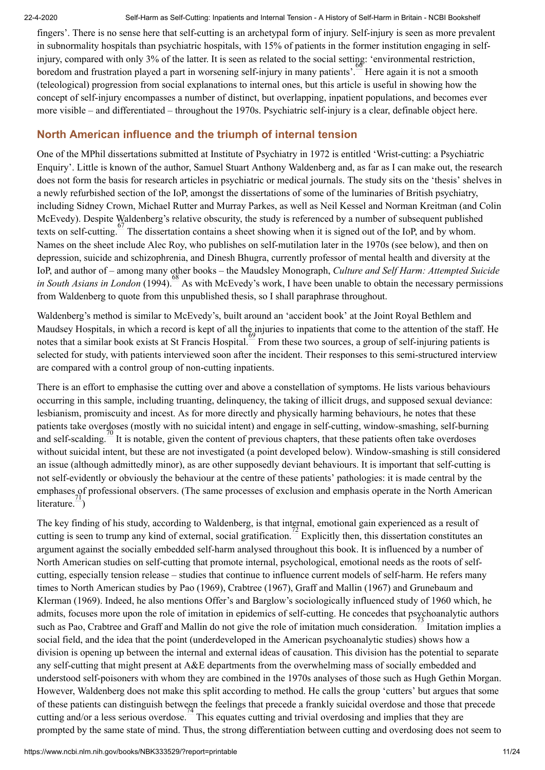fingers'. There is no sense here that self-cutting is an archetypal form of injury. Self-injury is seen as more prevalent in subnormality hospitals than psychiatric hospitals, with 15% of patients in the former institution engaging in selfinjury, compared with only 3% of the latter. It is seen as related to the social setting: 'environmental restriction, boredom and frustration played a part in worsening self-injury in many patients<sup>, 66</sup> Here again it is not a smooth (teleological) progression from social explanations to internal ones, but this article is useful in showing how the concept of self-injury encompasses a number of distinct, but overlapping, inpatient populations, and becomes ever more visible – and differentiated – throughout the 1970s. Psychiatric self-injury is a clear, definable object here.

## **North American influence and the triumph of internal tension**

One of the MPhil dissertations submitted at Institute of Psychiatry in 1972 is entitled 'Wrist-cutting: a Psychiatric Enquiry'. Little is known of the author, Samuel Stuart Anthony Waldenberg and, as far as I can make out, the research does not form the basis for research articles in psychiatric or medical journals. The study sits on the 'thesis' shelves in a newly refurbished section of the IoP, amongst the dissertations of some of the luminaries of British psychiatry, including Sidney Crown, Michael Rutter and Murray Parkes, as well as Neil Kessel and Norman Kreitman (and Colin McEvedy). Despite Waldenberg's relative obscurity, the study is referenced by a number of subsequent published texts on self-cutting. The dissertation contains a sheet showing when it is signed out of the IoP, and by whom. Names on the sheet include Alec Roy, who publishes on self-mutilation later in the 1970s (see below), and then on depression, suicide and schizophrenia, and Dinesh Bhugra, currently professor of mental health and diversity at the IoP, and author of – among many other books – the Maudsley Monograph, *Culture and Self Harm: Attempted Suicide in South Asians in London* (1994).<sup>68</sup> As with McEvedy's work, I have been unable to obtain the necessary permissions from Waldenberg to quote from this unpublished thesis, so I shall paraphrase throughout.

Waldenberg's method is similar to McEvedy's, built around an 'accident book' at the Joint Royal Bethlem and Maudsey Hospitals, in which a record is kept of all the injuries to inpatients that come to the attention of the staff. He notes that a similar book exists at St Francis Hospital. From these two sources, a group of self-injuring patients is selected for study, with patients interviewed soon after the incident. Their responses to this semi-structured interview are compared with a control group of non-cutting inpatients.

There is an effort to emphasise the cutting over and above a constellation of symptoms. He lists various behaviours occurring in this sample, including truanting, delinquency, the taking of illicit drugs, and supposed sexual deviance: lesbianism, promiscuity and incest. As for more directly and physically harming behaviours, he notes that these patients take overdoses (mostly with no suicidal intent) and engage in self-cutting, window-smashing, self-burning and self-scalding.<sup>70</sup> It is notable, given the content of previous chapters, that these patients often take overdoses without suicidal intent, but these are not investigated (a point developed below). Window-smashing is still considered an issue (although admittedly minor), as are other supposedly deviant behaviours. It is important that self-cutting is not self-evidently or obviously the behaviour at the centre of these patients' pathologies: it is made central by the emphases of professional observers. (The same processes of exclusion and emphasis operate in the North American literature. $\overleftrightarrow{\phantom{a}}$ 

The key finding of his study, according to Waldenberg, is that internal, emotional gain experienced as a result of cutting is seen to trump any kind of external, social gratification.  $\overline{F}$  Explicitly then, this dissertation constitutes an argument against the socially embedded self-harm analysed throughout this book. It is influenced by a number of North American studies on self-cutting that promote internal, psychological, emotional needs as the roots of selfcutting, especially tension release – studies that continue to influence current models of self-harm. He refers many times to North American studies by Pao (1969), Crabtree (1967), Graff and Mallin (1967) and Grunebaum and Klerman (1969). Indeed, he also mentions Offer's and Barglow's sociologically influenced study of 1960 which, he admits, focuses more upon the role of imitation in epidemics of self-cutting. He concedes that psychoanalytic authors such as Pao, Crabtree and Graff and Mallin do not give the role of imitation much consideration.<sup>7</sup> Imitation implies a social field, and the idea that the point (underdeveloped in the American psychoanalytic studies) shows how a division is opening up between the internal and external ideas of causation. This division has the potential to separate any self-cutting that might present at A&E departments from the overwhelming mass of socially embedded and understood self-poisoners with whom they are combined in the 1970s analyses of those such as Hugh Gethin Morgan. However, Waldenberg does not make this split according to method. He calls the group 'cutters' but argues that some of these patients can distinguish between the feelings that precede a frankly suicidal overdose and those that precede cutting and/or a less serious overdose.<sup>74</sup> This equates cutting and trivial overdosing and implies that they are prompted by the same state of mind. Thus, the strong differentiation between cutting and overdosing does not seem to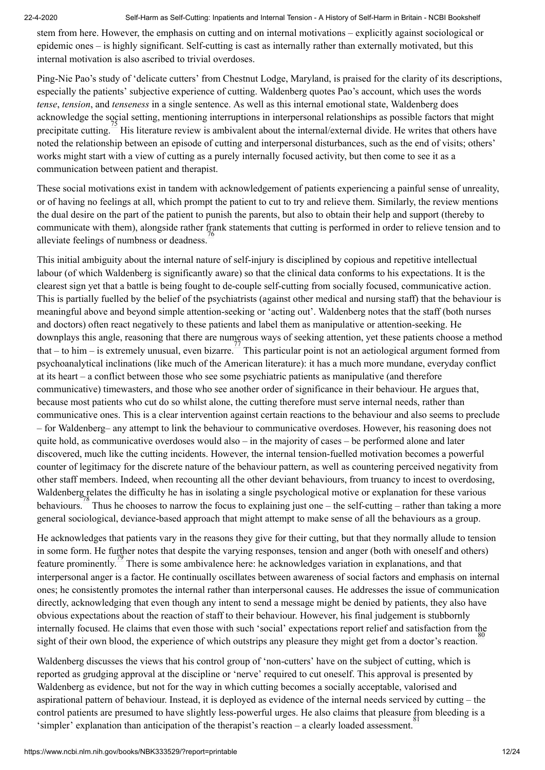stem from here. However, the emphasis on cutting and on internal motivations – explicitly against sociological or epidemic ones – is highly significant. Self-cutting is cast as internally rather than externally motivated, but this internal motivation is also ascribed to trivial overdoses.

Ping-Nie Pao's study of 'delicate cutters' from Chestnut Lodge, Maryland, is praised for the clarity of its descriptions, especially the patients' subjective experience of cutting. Waldenberg quotes Pao's account, which uses the words *tense*, *tension*, and *tenseness* in a single sentence. As well as this internal emotional state, Waldenberg does acknowledge the social setting, mentioning interruptions in interpersonal relationships as possible factors that might precipitate cutting.<sup>75</sup> His literature review is ambivalent about the internal/external divide. He writes that others have noted the relationship between an episode of cutting and interpersonal disturbances, such as the end of visits; others' works might start with a view of cutting as a purely internally focused activity, but then come to see it as a communication between patient and therapist.

These social motivations exist in tandem with acknowledgement of patients experiencing a painful sense of unreality, or of having no feelings at all, which prompt the patient to cut to try and relieve them. Similarly, the review mentions the dual desire on the part of the patient to punish the parents, but also to obtain their help and support (thereby to communicate with them), alongside rather frank statements that cutting is performed in order to relieve tension and to alleviate feelings of numbness or deadness.

This initial ambiguity about the internal nature of self-injury is disciplined by copious and repetitive intellectual labour (of which Waldenberg is significantly aware) so that the clinical data conforms to his expectations. It is the clearest sign yet that a battle is being fought to de-couple self-cutting from socially focused, communicative action. This is partially fuelled by the belief of the psychiatrists (against other medical and nursing staff) that the behaviour is meaningful above and beyond simple attention-seeking or 'acting out'. Waldenberg notes that the staff (both nurses and doctors) often react negatively to these patients and label them as manipulative or attention-seeking. He downplays this angle, reasoning that there are numerous ways of seeking attention, yet these patients choose a method that – to him – is extremely unusual, even bizarre. This particular point is not an aetiological argument formed from psychoanalytical inclinations (like much of the American literature): it has a much more mundane, everyday conflict at its heart – a conflict between those who see some psychiatric patients as manipulative (and therefore communicative) timewasters, and those who see another order of significance in their behaviour. He argues that, because most patients who cut do so whilst alone, the cutting therefore must serve internal needs, rather than communicative ones. This is a clear intervention against certain reactions to the behaviour and also seems to preclude – for Waldenberg– any attempt to link the behaviour to communicative overdoses. However, his reasoning does not quite hold, as communicative overdoses would also  $-$  in the majority of cases  $-$  be performed alone and later discovered, much like the cutting incidents. However, the internal tension-fuelled motivation becomes a powerful counter of legitimacy for the discrete nature of the behaviour pattern, as well as countering perceived negativity from other staff members. Indeed, when recounting all the other deviant behaviours, from truancy to incest to overdosing, Waldenberg relates the difficulty he has in isolating a single psychological motive or explanation for these various behaviours.<sup> $\frac{8}{3}$ </sup> Thus he chooses to narrow the focus to explaining just one – the self-cutting – rather than taking a more general sociological, deviance-based approach that might attempt to make sense of all the behaviours as a group.

He acknowledges that patients vary in the reasons they give for their cutting, but that they normally allude to tension in some form. He further notes that despite the varying responses, tension and anger (both with oneself and others) feature prominently. There is some ambivalence here: he acknowledges variation in explanations, and that interpersonal anger is a factor. He continually oscillates between awareness of social factors and emphasis on internal ones; he consistently promotes the internal rather than interpersonal causes. He addresses the issue of communication directly, acknowledging that even though any intent to send a message might be denied by patients, they also have obvious expectations about the reaction of staff to their behaviour. However, his final judgement is stubbornly internally focused. He claims that even those with such 'social' expectations report relief and satisfaction from the  $\frac{80}{80}$ sight of their own blood, the experience of which outstrips any pleasure they might get from a doctor's reaction.

Waldenberg discusses the views that his control group of 'non-cutters' have on the subject of cutting, which is reported as grudging approval at the discipline or 'nerve' required to cut oneself. This approval is presented by Waldenberg as evidence, but not for the way in which cutting becomes a socially acceptable, valorised and aspirational pattern of behaviour. Instead, it is deployed as evidence of the internal needs serviced by cutting – the control patients are presumed to have slightly less-powerful urges. He also claims that pleasure from bleeding is a 'simpler' explanation than anticipation of the therapist's reaction – a clearly loaded assessment.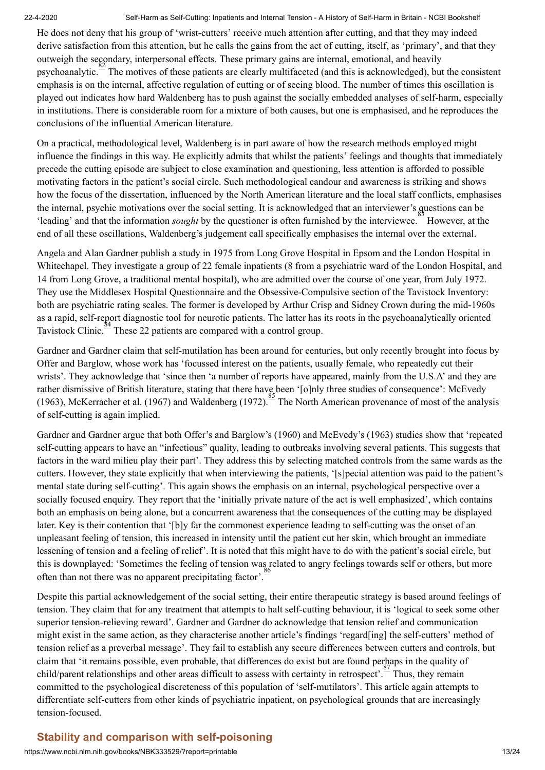He does not deny that his group of 'wrist-cutters' receive much attention after cutting, and that they may indeed derive satisfaction from this attention, but he calls the gains from the act of cutting, itself, as 'primary', and that they outweigh the secondary, interpersonal effects. These primary gains are internal, emotional, and heavily psychoanalytic.<sup>82</sup> The motives of these patients are clearly multifaceted (and this is acknowledged), but the consistent emphasis is on the internal, affective regulation of cutting or of seeing blood. The number of times this oscillation is played out indicates how hard Waldenberg has to push against the socially embedded analyses of self-harm, especially in institutions. There is considerable room for a mixture of both causes, but one is emphasised, and he reproduces the conclusions of the influential American literature.

On a practical, methodological level, Waldenberg is in part aware of how the research methods employed might influence the findings in this way. He explicitly admits that whilst the patients' feelings and thoughts that immediately precede the cutting episode are subject to close examination and questioning, less attention is afforded to possible motivating factors in the patient's social circle. Such methodological candour and awareness is striking and shows how the focus of the dissertation, influenced by the North American literature and the local staff conflicts, emphasises the internal, psychic motivations over the social setting. It is acknowledged that an interviewer's questions can be 'leading' and that the information *sought* by the questioner is often furnished by the interviewee.<sup> $\approx$ </sup> However, at the end of all these oscillations, Waldenberg's judgement call specifically emphasises the internal over the external.

Angela and Alan Gardner publish a study in 1975 from Long Grove Hospital in Epsom and the London Hospital in Whitechapel. They investigate a group of 22 female inpatients (8 from a psychiatric ward of the London Hospital, and 14 from Long Grove, a traditional mental hospital), who are admitted over the course of one year, from July 1972. They use the Middlesex Hospital Questionnaire and the Obsessive-Compulsive section of the Tavistock Inventory: both are psychiatric rating scales. The former is developed by Arthur Crisp and Sidney Crown during the mid-1960s as a rapid, self-report diagnostic tool for neurotic patients. The latter has its roots in the psychoanalytically oriented Tavistock Clinic.<sup>84</sup> These 22 patients are compared with a control group.

Gardner and Gardner claim that self-mutilation has been around for centuries, but only recently brought into focus by Offer and Barglow, whose work has 'focussed interest on the patients, usually female, who repeatedly cut their wrists'. They acknowledge that 'since then 'a number of reports have appeared, mainly from the U.S.A' and they are rather dismissive of British literature, stating that there have been '[o]nly three studies of consequence': McEvedy (1963), McKerracher et al. (1967) and Waldenberg (1972).<sup>23</sup> The North American provenance of most of the analysis of self-cutting is again implied.

Gardner and Gardner argue that both Offer's and Barglow's (1960) and McEvedy's (1963) studies show that 'repeated self-cutting appears to have an "infectious" quality, leading to outbreaks involving several patients. This suggests that factors in the ward milieu play their part'. They address this by selecting matched controls from the same wards as the cutters. However, they state explicitly that when interviewing the patients, '[s]pecial attention was paid to the patient's mental state during self-cutting'. This again shows the emphasis on an internal, psychological perspective over a socially focused enquiry. They report that the 'initially private nature of the act is well emphasized', which contains both an emphasis on being alone, but a concurrent awareness that the consequences of the cutting may be displayed later. Key is their contention that '[b]y far the commonest experience leading to self-cutting was the onset of an unpleasant feeling of tension, this increased in intensity until the patient cut her skin, which brought an immediate lessening of tension and a feeling of relief'. It is noted that this might have to do with the patient's social circle, but this is downplayed: 'Sometimes the feeling of tension was related to angry feelings towards self or others, but more 86 often than not there was no apparent precipitating factor'.

Despite this partial acknowledgement of the social setting, their entire therapeutic strategy is based around feelings of tension. They claim that for any treatment that attempts to halt self-cutting behaviour, it is 'logical to seek some other superior tension-relieving reward'. Gardner and Gardner do acknowledge that tension relief and communication might exist in the same action, as they characterise another article's findings 'regard[ing] the self-cutters' method of tension relief as a preverbal message'. They fail to establish any secure differences between cutters and controls, but claim that 'it remains possible, even probable, that differences do exist but are found perhaps in the quality of child/parent relationships and other areas difficult to assess with certainty in retrospect'. Thus, they remain committed to the psychological discreteness of this population of 'self-mutilators'. This article again attempts to differentiate self-cutters from other kinds of psychiatric inpatient, on psychological grounds that are increasingly tension-focused.

## **Stability and comparison with self-poisoning**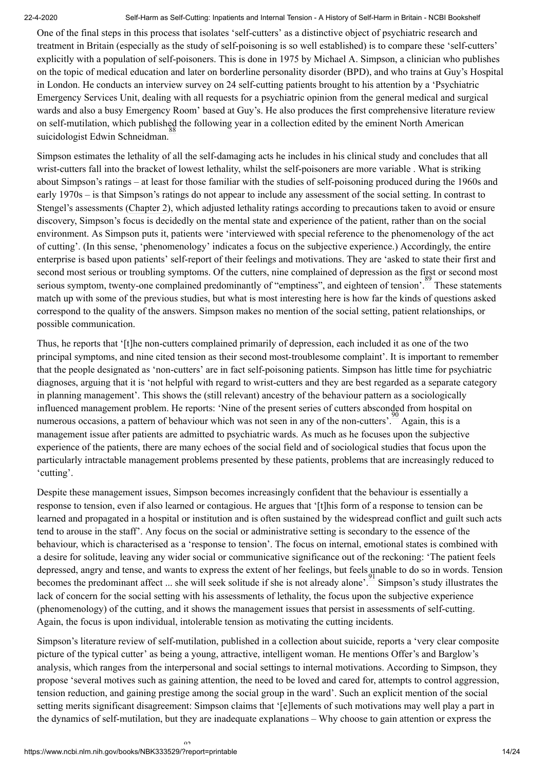One of the final steps in this process that isolates 'self-cutters' as a distinctive object of psychiatric research and treatment in Britain (especially as the study of self-poisoning is so well established) is to compare these 'self-cutters' explicitly with a population of self-poisoners. This is done in 1975 by Michael A. Simpson, a clinician who publishes on the topic of medical education and later on borderline personality disorder (BPD), and who trains at Guy's Hospital in London. He conducts an interview survey on 24 self-cutting patients brought to his attention by a 'Psychiatric Emergency Services Unit, dealing with all requests for a psychiatric opinion from the general medical and surgical wards and also a busy Emergency Room' based at Guy's. He also produces the first comprehensive literature review on self-mutilation, which published the following year in a collection edited by the eminent North American suicidologist Edwin Schneidman.

Simpson estimates the lethality of all the self-damaging acts he includes in his clinical study and concludes that all wrist-cutters fall into the bracket of lowest lethality, whilst the self-poisoners are more variable . What is striking about Simpson's ratings – at least for those familiar with the studies of self-poisoning produced during the 1960s and early 1970s – is that Simpson's ratings do not appear to include any assessment of the social setting. In contrast to Stengel's assessments ([Chapter](https://www.ncbi.nlm.nih.gov/books/n/wt605801/wt605801_ch2/) 2), which adjusted lethality ratings according to precautions taken to avoid or ensure discovery, Simpson's focus is decidedly on the mental state and experience of the patient, rather than on the social environment. As Simpson puts it, patients were 'interviewed with special reference to the phenomenology of the act of cutting'. (In this sense, 'phenomenology' indicates a focus on the subjective experience.) Accordingly, the entire enterprise is based upon patients' self-report of their feelings and motivations. They are 'asked to state their first and second most serious or troubling symptoms. Of the cutters, nine complained of depression as the first or second most serious symptom, twenty-one complained predominantly of "emptiness", and eighteen of tension'. These statements match up with some of the previous studies, but what is most interesting here is how far the kinds of questions asked correspond to the quality of the answers. Simpson makes no mention of the social setting, patient relationships, or possible communication.

Thus, he reports that '[t]he non-cutters complained primarily of depression, each included it as one of the two principal symptoms, and nine cited tension as their second most-troublesome complaint'. It is important to remember that the people designated as 'non-cutters' are in fact self-poisoning patients. Simpson has little time for psychiatric diagnoses, arguing that it is 'not helpful with regard to wrist-cutters and they are best regarded as a separate category in planning management'. This shows the (still relevant) ancestry of the behaviour pattern as a sociologically influenced management problem. He reports: 'Nine of the present series of cutters absconded from hospital on numerous occasions, a pattern of behaviour which was not seen in any of the non-cutters'. Again, this is a management issue after patients are admitted to psychiatric wards. As much as he focuses upon the subjective experience of the patients, there are many echoes of the social field and of sociological studies that focus upon the particularly intractable management problems presented by these patients, problems that are increasingly reduced to 'cutting'.

Despite these management issues, Simpson becomes increasingly confident that the behaviour is essentially a response to tension, even if also learned or contagious. He argues that '[t]his form of a response to tension can be learned and propagated in a hospital or institution and is often sustained by the widespread conflict and guilt such acts tend to arouse in the staff'. Any focus on the social or administrative setting is secondary to the essence of the behaviour, which is characterised as a 'response to tension'. The focus on internal, emotional states is combined with a desire for solitude, leaving any wider social or communicative significance out of the reckoning: 'The patient feels depressed, angry and tense, and wants to express the extent of her feelings, but feels unable to do so in words. Tension becomes the predominant affect ... she will seek solitude if she is not already alone'.<sup>14</sup> Simpson's study illustrates the lack of concern for the social setting with his assessments of lethality, the focus upon the subjective experience (phenomenology) of the cutting, and it shows the management issues that persist in assessments of self-cutting. Again, the focus is upon individual, intolerable tension as motivating the cutting incidents.

Simpson's literature review of self-mutilation, published in a collection about suicide, reports a 'very clear composite picture of the typical cutter' as being a young, attractive, intelligent woman. He mentions Offer's and Barglow's analysis, which ranges from the interpersonal and social settings to internal motivations. According to Simpson, they propose 'several motives such as gaining attention, the need to be loved and cared for, attempts to control aggression, tension reduction, and gaining prestige among the social group in the ward'. Such an explicit mention of the social setting merits significant disagreement: Simpson claims that '[e]lements of such motivations may well play a part in the dynamics of self-mutilation, but they are inadequate explanations – Why choose to gain attention or express the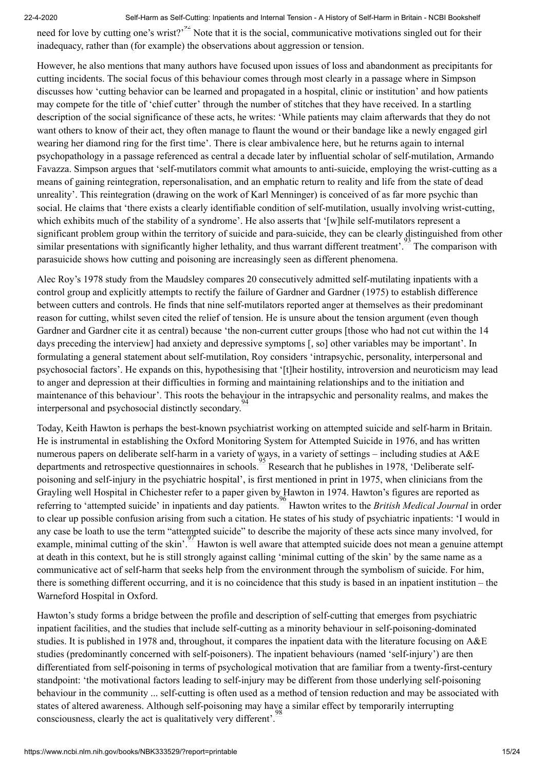need for love by cutting one's wrist?<sup>,  $\frac{1}{2}$ </sup> Note that it is the social, communicative motivations singled out for their inadequacy, rather than (for example) the observations about aggression or tension.

However, he also mentions that many authors have focused upon issues of loss and abandonment as precipitants for cutting incidents. The social focus of this behaviour comes through most clearly in a passage where in Simpson discusses how 'cutting behavior can be learned and propagated in a hospital, clinic or institution' and how patients may compete for the title of 'chief cutter' through the number of stitches that they have received. In a startling description of the social significance of these acts, he writes: 'While patients may claim afterwards that they do not want others to know of their act, they often manage to flaunt the wound or their bandage like a newly engaged girl wearing her diamond ring for the first time'. There is clear ambivalence here, but he returns again to internal psychopathology in a passage referenced as central a decade later by influential scholar of self-mutilation, Armando Favazza. Simpson argues that 'self-mutilators commit what amounts to anti-suicide, employing the wrist-cutting as a means of gaining reintegration, repersonalisation, and an emphatic return to reality and life from the state of dead unreality'. This reintegration (drawing on the work of Karl Menninger) is conceived of as far more psychic than social. He claims that 'there exists a clearly identifiable condition of self-mutilation, usually involving wrist-cutting, which exhibits much of the stability of a syndrome'. He also asserts that '[w]hile self-mutilators represent a significant problem group within the territory of suicide and para-suicide, they can be clearly distinguished from other similar presentations with significantly higher lethality, and thus warrant different treatment'. The comparison with parasuicide shows how cutting and poisoning are increasingly seen as different phenomena.

Alec Roy's 1978 study from the Maudsley compares 20 consecutively admitted self-mutilating inpatients with a control group and explicitly attempts to rectify the failure of Gardner and Gardner (1975) to establish difference between cutters and controls. He finds that nine self-mutilators reported anger at themselves as their predominant reason for cutting, whilst seven cited the relief of tension. He is unsure about the tension argument (even though Gardner and Gardner cite it as central) because 'the non-current cutter groups [those who had not cut within the 14 days preceding the interview] had anxiety and depressive symptoms [, so] other variables may be important'. In formulating a general statement about self-mutilation, Roy considers 'intrapsychic, personality, interpersonal and psychosocial factors'. He expands on this, hypothesising that '[t]heir hostility, introversion and neuroticism may lead to anger and depression at their difficulties in forming and maintaining relationships and to the initiation and maintenance of this behaviour'. This roots the behaviour in the intrapsychic and personality realms, and makes the interpersonal and psychosocial distinctly secondary.

Today, Keith Hawton is perhaps the best-known psychiatrist working on attempted suicide and self-harm in Britain. He is instrumental in establishing the Oxford Monitoring System for Attempted Suicide in 1976, and has written numerous papers on deliberate self-harm in a variety of ways, in a variety of settings – including studies at A&E departments and retrospective questionnaires in schools. Research that he publishes in 1978, 'Deliberate selfpoisoning and self-injury in the psychiatric hospital', is first mentioned in print in 1975, when clinicians from the Grayling well Hospital in Chichester refer to a paper given by Hawton in 1974. Hawton's figures are reported as referring to 'attempted suicide' in inpatients and day patients. Hawton writes to the *British Medical Journal* in order to clear up possible confusion arising from such a citation. He states of his study of psychiatric inpatients: 'I would in any case be loath to use the term "attempted suicide" to describe the majority of these acts since many involved, for example, minimal cutting of the skin'. Hawton is well aware that attempted suicide does not mean a genuine attempt at death in this context, but he is still strongly against calling 'minimal cutting of the skin' by the same name as a communicative act of self-harm that seeks help from the environment through the symbolism of suicide. For him, there is something different occurring, and it is no coincidence that this study is based in an inpatient institution – the Warneford Hospital in Oxford.

Hawton's study forms a bridge between the profile and description of self-cutting that emerges from psychiatric inpatient facilities, and the studies that include self-cutting as a minority behaviour in self-poisoning-dominated studies. It is published in 1978 and, throughout, it compares the inpatient data with the literature focusing on A&E studies (predominantly concerned with self-poisoners). The inpatient behaviours (named 'self-injury') are then differentiated from self-poisoning in terms of psychological motivation that are familiar from a twenty-first-century standpoint: 'the motivational factors leading to self-injury may be different from those underlying self-poisoning behaviour in the community ... self-cutting is often used as a method of tension reduction and may be associated with states of altered awareness. Although self-poisoning may have a similar effect by temporarily interrupting consciousness, clearly the act is qualitatively very different'.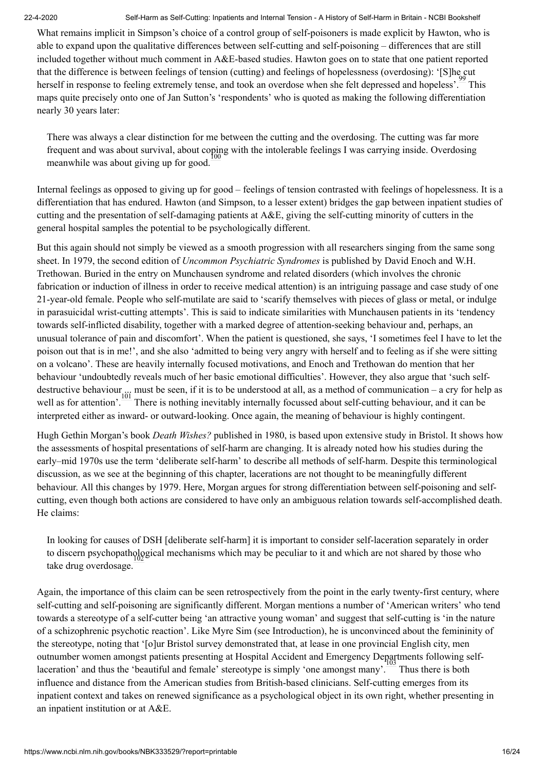What remains implicit in Simpson's choice of a control group of self-poisoners is made explicit by Hawton, who is able to expand upon the qualitative differences between self-cutting and self-poisoning – differences that are still included together without much comment in A&E-based studies. Hawton goes on to state that one patient reported that the difference is between feelings of tension (cutting) and feelings of hopelessness (overdosing): '[S]he cut herself in response to feeling extremely tense, and took an overdose when she felt depressed and hopeless'. This maps quite precisely onto one of Jan Sutton's 'respondents' who is quoted as making the following differentiation nearly 30 years later:

There was always a clear distinction for me between the cutting and the overdosing. The cutting was far more frequent and was about survival, about coping with the intolerable feelings I was carrying inside. Overdosing meanwhile was about giving up for good.

Internal feelings as opposed to giving up for good – feelings of tension contrasted with feelings of hopelessness. It is a differentiation that has endured. Hawton (and Simpson, to a lesser extent) bridges the gap between inpatient studies of cutting and the presentation of self-damaging patients at A&E, giving the self-cutting minority of cutters in the general hospital samples the potential to be psychologically different.

But this again should not simply be viewed as a smooth progression with all researchers singing from the same song sheet. In 1979, the second edition of *Uncommon Psychiatric Syndromes* is published by David Enoch and W.H. Trethowan. Buried in the entry on Munchausen syndrome and related disorders (which involves the chronic fabrication or induction of illness in order to receive medical attention) is an intriguing passage and case study of one 21-year-old female. People who self-mutilate are said to 'scarify themselves with pieces of glass or metal, or indulge in parasuicidal wrist-cutting attempts'. This is said to indicate similarities with Munchausen patients in its 'tendency towards self-inflicted disability, together with a marked degree of attention-seeking behaviour and, perhaps, an unusual tolerance of pain and discomfort'. When the patient is questioned, she says, 'I sometimes feel I have to let the poison out that is in me!', and she also 'admitted to being very angry with herself and to feeling as if she were sitting on a volcano'. These are heavily internally focused motivations, and Enoch and Trethowan do mention that her behaviour 'undoubtedly reveals much of her basic emotional difficulties'. However, they also argue that 'such selfdestructive behaviour  $\frac{101}{101}$  must be seen, if it is to be understood at all, as a method of communication – a cry for help as well as for attention'.<sup>101</sup> There is nothing inevitably internally focussed about self-cutting behaviour, and it can be interpreted either as inward- or outward-looking. Once again, the meaning of behaviour is highly contingent.

Hugh Gethin Morgan's book *Death Wishes?* published in 1980, is based upon extensive study in Bristol. It shows how the assessments of hospital presentations of self-harm are changing. It is already noted how his studies during the early–mid 1970s use the term 'deliberate self-harm' to describe all methods of self-harm. Despite this terminological discussion, as we see at the beginning of this chapter, lacerations are not thought to be meaningfully different behaviour. All this changes by 1979. Here, Morgan argues for strong differentiation between self-poisoning and selfcutting, even though both actions are considered to have only an ambiguous relation towards self-accomplished death. He claims:

In looking for causes of DSH [deliberate self-harm] it is important to consider self-laceration separately in order to discern psychopathological mechanisms which may be peculiar to it and which are not shared by those who take drug overdosage.

Again, the importance of this claim can be seen retrospectively from the point in the early twenty-first century, where self-cutting and self-poisoning are significantly different. Morgan mentions a number of 'American writers' who tend towards a stereotype of a self-cutter being 'an attractive young woman' and suggest that self-cutting is 'in the nature of a schizophrenic psychotic reaction'. Like Myre Sim (see [Introduction\)](https://www.ncbi.nlm.nih.gov/books/n/wt605801/wt605801_intro/), he is unconvinced about the femininity of the stereotype, noting that '[o]ur Bristol survey demonstrated that, at lease in one provincial English city, men outnumber women amongst patients presenting at Hospital Accident and Emergency Departments following selflaceration' and thus the 'beautiful and female' stereotype is simply 'one amongst many'. Thus there is both influence and distance from the American studies from British-based clinicians. Self-cutting emerges from its inpatient context and takes on renewed significance as a psychological object in its own right, whether presenting in an inpatient institution or at A&E.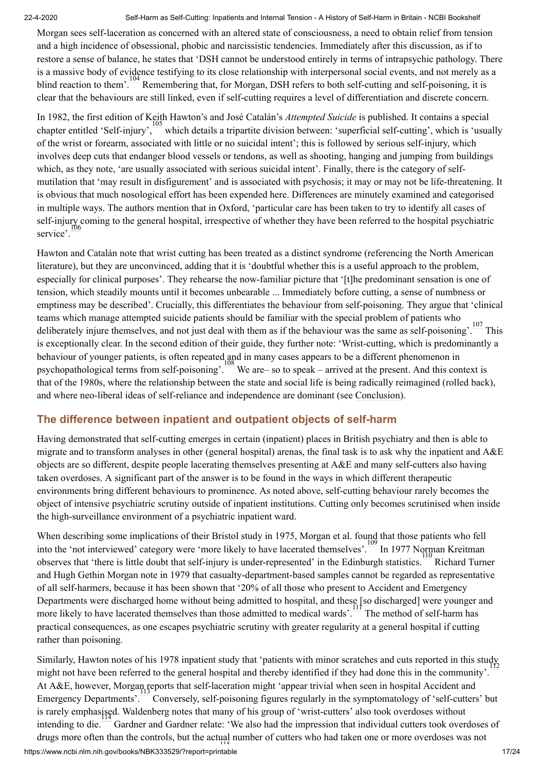Morgan sees self-laceration as concerned with an altered state of consciousness, a need to obtain relief from tension and a high incidence of obsessional, phobic and narcissistic tendencies. Immediately after this discussion, as if to restore a sense of balance, he states that 'DSH cannot be understood entirely in terms of intrapsychic pathology. There is a massive body of evidence testifying to its close relationship with interpersonal social events, and not merely as a blind reaction to them'.<sup>104</sup> Remembering that, for Morgan, DSH refers to both self-cutting and self-poisoning, it is clear that the behaviours are still linked, even if self-cutting requires a level of differentiation and discrete concern.

In 1982, the first edition of Keith Hawton's and José Catalán's *Attempted Suicide* is published. It contains a special chapter entitled 'Self-injury', which details a tripartite division between: 'superficial self-cutting', which is 'usually of the wrist or forearm, associated with little or no suicidal intent'; this is followed by serious self-injury, which involves deep cuts that endanger blood vessels or tendons, as well as shooting, hanging and jumping from buildings which, as they note, 'are usually associated with serious suicidal intent'. Finally, there is the category of selfmutilation that 'may result in disfigurement' and is associated with psychosis; it may or may not be life-threatening. It is obvious that much nosological effort has been expended here. Differences are minutely examined and categorised in multiple ways. The authors mention that in Oxford, 'particular care has been taken to try to identify all cases of self-injury coming to the general hospital, irrespective of whether they have been referred to the hospital psychiatric service'.

Hawton and Catalán note that wrist cutting has been treated as a distinct syndrome (referencing the North American literature), but they are unconvinced, adding that it is 'doubtful whether this is a useful approach to the problem, especially for clinical purposes'. They rehearse the now-familiar picture that '[t]he predominant sensation is one of tension, which steadily mounts until it becomes unbearable ... Immediately before cutting, a sense of numbness or emptiness may be described'. Crucially, this differentiates the behaviour from self-poisoning. They argue that 'clinical teams which manage attempted suicide patients should be familiar with the special problem of patients who deliberately injure themselves, and not just deal with them as if the behaviour was the same as self-poisoning'.<sup>107</sup> This is exceptionally clear. In the second edition of their guide, they further note: 'Wrist-cutting, which is predominantly a behaviour of younger patients, is often repeated and in many cases appears to be a different phenomenon in psychopathological terms from self-poisoning'. We are– so to speak – arrived at the present. And this context is that of the 1980s, where the relationship between the state and social life is being radically reimagined (rolled back), and where neo-liberal ideas of self-reliance and independence are dominant (see [Conclusion](https://www.ncbi.nlm.nih.gov/books/n/wt605801/wt605801_conc/)).

## **The difference between inpatient and outpatient objects of self-harm**

Having demonstrated that self-cutting emerges in certain (inpatient) places in British psychiatry and then is able to migrate and to transform analyses in other (general hospital) arenas, the final task is to ask why the inpatient and A&E objects are so different, despite people lacerating themselves presenting at A&E and many self-cutters also having taken overdoses. A significant part of the answer is to be found in the ways in which different therapeutic environments bring different behaviours to prominence. As noted above, self-cutting behaviour rarely becomes the object of intensive psychiatric scrutiny outside of inpatient institutions. Cutting only becomes scrutinised when inside the high-surveillance environment of a psychiatric inpatient ward.

When describing some implications of their Bristol study in 1975, Morgan et al. found that those patients who fell into the 'not interviewed' category were 'more likely to have lacerated themselves'.<sup>109</sup> In 1977 Norman Kreitman observes that 'there is little doubt that self-injury is under-represented' in the Edinburgh statistics.<sup>116</sup> Richard Turner and Hugh Gethin Morgan note in 1979 that casualty-department-based samples cannot be regarded as representative of all self-harmers, because it has been shown that '20% of all those who present to Accident and Emergency Departments were discharged home without being admitted to hospital, and these [so discharged] were younger and more likely to have lacerated themselves than those admitted to medical wards'. The method of self-harm has practical consequences, as one escapes psychiatric scrutiny with greater regularity at a general hospital if cutting rather than poisoning. 110

https://www.ncbi.nlm.nih.gov/books/NBK333529/?report=printable 17/24 Similarly, Hawton notes of his 1978 inpatient study that 'patients with minor scratches and cuts reported in this study might not have been referred to the general hospital and thereby identified if they had done this in the community'. At A&E, however, Morgan reports that self-laceration might 'appear trivial when seen in hospital Accident and Emergency Departments'. Conversely, self-poisoning figures regularly in the symptomatology of 'self-cutters' but is rarely emphasised. Waldenberg notes that many of his group of 'wrist-cutters' also took overdoses without intending to die.<sup>111</sup> Gardner and Gardner relate: 'We also had the impression that individual cutters took overdoses of drugs more often than the controls, but the actual number of cutters who had taken one or more overdoses was not 115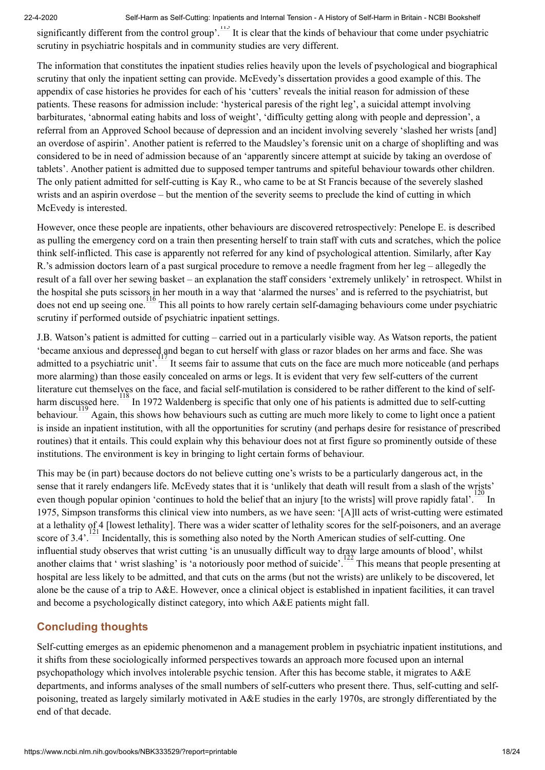significantly different from the control group'.<sup>113</sup> It is clear that the kinds of behaviour that come under psychiatric scrutiny in psychiatric hospitals and in community studies are very different.

The information that constitutes the inpatient studies relies heavily upon the levels of psychological and biographical scrutiny that only the inpatient setting can provide. McEvedy's dissertation provides a good example of this. The appendix of case histories he provides for each of his 'cutters' reveals the initial reason for admission of these patients. These reasons for admission include: 'hysterical paresis of the right leg', a suicidal attempt involving barbiturates, 'abnormal eating habits and loss of weight', 'difficulty getting along with people and depression', a referral from an Approved School because of depression and an incident involving severely 'slashed her wrists [and] an overdose of aspirin'. Another patient is referred to the Maudsley's forensic unit on a charge of shoplifting and was considered to be in need of admission because of an 'apparently sincere attempt at suicide by taking an overdose of tablets'. Another patient is admitted due to supposed temper tantrums and spiteful behaviour towards other children. The only patient admitted for self-cutting is Kay R., who came to be at St Francis because of the severely slashed wrists and an aspirin overdose – but the mention of the severity seems to preclude the kind of cutting in which McEvedy is interested.

However, once these people are inpatients, other behaviours are discovered retrospectively: Penelope E. is described as pulling the emergency cord on a train then presenting herself to train staff with cuts and scratches, which the police think self-inflicted. This case is apparently not referred for any kind of psychological attention. Similarly, after Kay R.'s admission doctors learn of a past surgical procedure to remove a needle fragment from her leg – allegedly the result of a fall over her sewing basket – an explanation the staff considers 'extremely unlikely' in retrospect. Whilst in the hospital she puts scissors in her mouth in a way that 'alarmed the nurses' and is referred to the psychiatrist, but does not end up seeing one.<sup>110</sup> This all points to how rarely certain self-damaging behaviours come under psychiatric scrutiny if performed outside of psychiatric inpatient settings.

J.B. Watson's patient is admitted for cutting – carried out in a particularly visible way. As Watson reports, the patient 'became anxious and depressed and began to cut herself with glass or razor blades on her arms and face. She was admitted to a psychiatric unit'.<sup>IT</sup> It seems fair to assume that cuts on the face are much more noticeable (and perhaps more alarming) than those easily concealed on arms or legs. It is evident that very few self-cutters of the current literature cut themselves on the face, and facial self-mutilation is considered to be rather different to the kind of selfharm discussed here.<sup>118</sup> In 1972 Waldenberg is specific that only one of his patients is admitted due to self-cutting behaviour.  $\overline{A}$  Again, this shows how behaviours such as cutting are much more likely to come to light once a patient is inside an inpatient institution, with all the opportunities for scrutiny (and perhaps desire for resistance of prescribed routines) that it entails. This could explain why this behaviour does not at first figure so prominently outside of these institutions. The environment is key in bringing to light certain forms of behaviour. 119

This may be (in part) because doctors do not believe cutting one's wrists to be a particularly dangerous act, in the sense that it rarely endangers life. McEvedy states that it is 'unlikely that death will result from a slash of the wrists' even though popular opinion 'continues to hold the belief that an injury [to the wrists] will prove rapidly fatal'.<sup>I20</sup> In 1975, Simpson transforms this clinical view into numbers, as we have seen: '[A]ll acts of wrist-cutting were estimated at a lethality of 4 [lowest lethality]. There was a wider scatter of lethality scores for the self-poisoners, and an average score of 3.4'. Incidentally, this is something also noted by the North American studies of self-cutting. One influential study observes that wrist cutting 'is an unusually difficult way to draw large amounts of blood', whilst another claims that ' wrist slashing' is 'a notoriously poor method of suicide'.<sup>122</sup> This means that people presenting at hospital are less likely to be admitted, and that cuts on the arms (but not the wrists) are unlikely to be discovered, let alone be the cause of a trip to A&E. However, once a clinical object is established in inpatient facilities, it can travel and become a psychologically distinct category, into which A&E patients might fall.

# **Concluding thoughts**

Self-cutting emerges as an epidemic phenomenon and a management problem in psychiatric inpatient institutions, and it shifts from these sociologically informed perspectives towards an approach more focused upon an internal psychopathology which involves intolerable psychic tension. After this has become stable, it migrates to A&E departments, and informs analyses of the small numbers of self-cutters who present there. Thus, self-cutting and selfpoisoning, treated as largely similarly motivated in A&E studies in the early 1970s, are strongly differentiated by the end of that decade.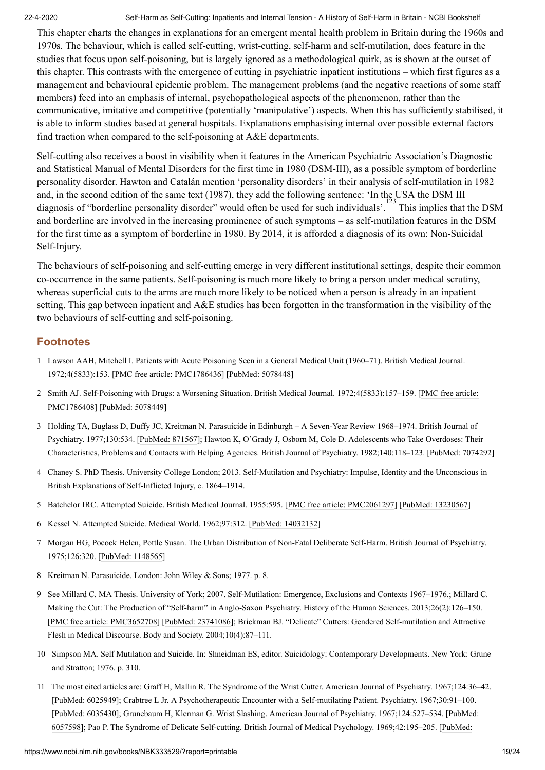This chapter charts the changes in explanations for an emergent mental health problem in Britain during the 1960s and 1970s. The behaviour, which is called self-cutting, wrist-cutting, self-harm and self-mutilation, does feature in the studies that focus upon self-poisoning, but is largely ignored as a methodological quirk, as is shown at the outset of this chapter. This contrasts with the emergence of cutting in psychiatric inpatient institutions – which first figures as a management and behavioural epidemic problem. The management problems (and the negative reactions of some staff members) feed into an emphasis of internal, psychopathological aspects of the phenomenon, rather than the communicative, imitative and competitive (potentially 'manipulative') aspects. When this has sufficiently stabilised, it is able to inform studies based at general hospitals. Explanations emphasising internal over possible external factors find traction when compared to the self-poisoning at A&E departments.

Self-cutting also receives a boost in visibility when it features in the American Psychiatric Association's Diagnostic and Statistical Manual of Mental Disorders for the first time in 1980 (DSM-III), as a possible symptom of borderline personality disorder. Hawton and Catalán mention 'personality disorders' in their analysis of self-mutilation in 1982 and, in the second edition of the same text (1987), they add the following sentence: 'In the USA the DSM III diagnosis of "borderline personality disorder" would often be used for such individuals'.<sup>123</sup> This implies that the DSM and borderline are involved in the increasing prominence of such symptoms – as self-mutilation features in the DSM for the first time as a symptom of borderline in 1980. By 2014, it is afforded a diagnosis of its own: Non-Suicidal Self-Injury.

The behaviours of self-poisoning and self-cutting emerge in very different institutional settings, despite their common co-occurrence in the same patients. Self-poisoning is much more likely to bring a person under medical scrutiny, whereas superficial cuts to the arms are much more likely to be noticed when a person is already in an inpatient setting. This gap between inpatient and A&E studies has been forgotten in the transformation in the visibility of the two behaviours of self-cutting and self-poisoning.

## **Footnotes**

- 1 Lawson AAH, Mitchell I. Patients with Acute Poisoning Seen in a General Medical Unit (1960–71). British Medical Journal. 1972;4(5833):153. [PMC free article: [PMC1786436\]](https://www.ncbi.nlm.nih.gov/pmc/articles/PMC1786436/) [\[PubMed:](https://www.ncbi.nlm.nih.gov/pubmed/5078448) 5078448]
- 2 Smith AJ. Self-Poisoning with Drugs: a Worsening Situation. British Medical Journal. [1972;4\(5833\):157–159.](https://www.ncbi.nlm.nih.gov/pmc/articles/PMC1786408/) [PMC free article: PMC1786408] [[PubMed:](https://www.ncbi.nlm.nih.gov/pubmed/5078449) 5078449]
- 3 Holding TA, Buglass D, Duffy JC, Kreitman N. Parasuicide in Edinburgh A Seven-Year Review 1968–1974. British Journal of Psychiatry. 1977;130:534. [[PubMed:](https://www.ncbi.nlm.nih.gov/pubmed/871567) 871567]; Hawton K, O'Grady J, Osborn M, Cole D. Adolescents who Take Overdoses: Their Characteristics, Problems and Contacts with Helping Agencies. British Journal of Psychiatry. 1982;140:118–123. [\[PubMed:](https://www.ncbi.nlm.nih.gov/pubmed/7074292) 7074292]
- 4 Chaney S. PhD Thesis. University College London; 2013. Self-Mutilation and Psychiatry: Impulse, Identity and the Unconscious in British Explanations of Self-Inflicted Injury, c. 1864–1914.
- 5 Batchelor IRC. Attempted Suicide. British Medical Journal. 1955:595. [PMC free article: [PMC2061297\]](https://www.ncbi.nlm.nih.gov/pmc/articles/PMC2061297/) [PubMed: [13230567](https://www.ncbi.nlm.nih.gov/pubmed/13230567)]
- 6 Kessel N. Attempted Suicide. Medical World. 1962;97:312. [PubMed: [14032132](https://www.ncbi.nlm.nih.gov/pubmed/14032132)]
- 7 Morgan HG, Pocock Helen, Pottle Susan. The Urban Distribution of Non-Fatal Deliberate Self-Harm. British Journal of Psychiatry. 1975;126:320. [\[PubMed:](https://www.ncbi.nlm.nih.gov/pubmed/1148565) 1148565]
- 8 Kreitman N. Parasuicide. London: John Wiley & Sons; 1977. p. 8.
- 9 See Millard C. MA Thesis. University of York; 2007. Self-Mutilation: Emergence, Exclusions and Contexts 1967–1976.; Millard C. Making the Cut: The Production of "Self-harm" in Anglo-Saxon Psychiatry. History of the Human Sciences. 2013;26(2):126–150. [PMC free article: [PMC3652708\]](https://www.ncbi.nlm.nih.gov/pmc/articles/PMC3652708/) [PubMed: [23741086](https://www.ncbi.nlm.nih.gov/pubmed/23741086)]; Brickman BJ. "Delicate" Cutters: Gendered Self-mutilation and Attractive Flesh in Medical Discourse. Body and Society. 2004;10(4):87–111.
- 10 Simpson MA. Self Mutilation and Suicide. In: Shneidman ES, editor. Suicidology: Contemporary Developments. New York: Grune and Stratton; 1976. p. 310.
- 11 The most cited articles are: Graff H, Mallin R. The Syndrome of the Wrist Cutter. American Journal of Psychiatry. 1967;124:36–42. [\[PubMed:](https://www.ncbi.nlm.nih.gov/pubmed/6025949) 6025949]; Crabtree L Jr. A Psychotherapeutic Encounter with a Self-mutilating Patient. Psychiatry. 1967;30:91–100. [\[PubMed:](https://www.ncbi.nlm.nih.gov/pubmed/6035430) 6035430]; Grunebaum H, Klerman G. Wrist Slashing. American Journal of Psychiatry. [1967;124:527–534.](https://www.ncbi.nlm.nih.gov/pubmed/6057598) [PubMed: 6057598]; Pao P. The Syndrome of Delicate Self-cutting. British Journal of Medical Psychology. [1969;42:195–205.](https://www.ncbi.nlm.nih.gov/pubmed/5808710) [PubMed: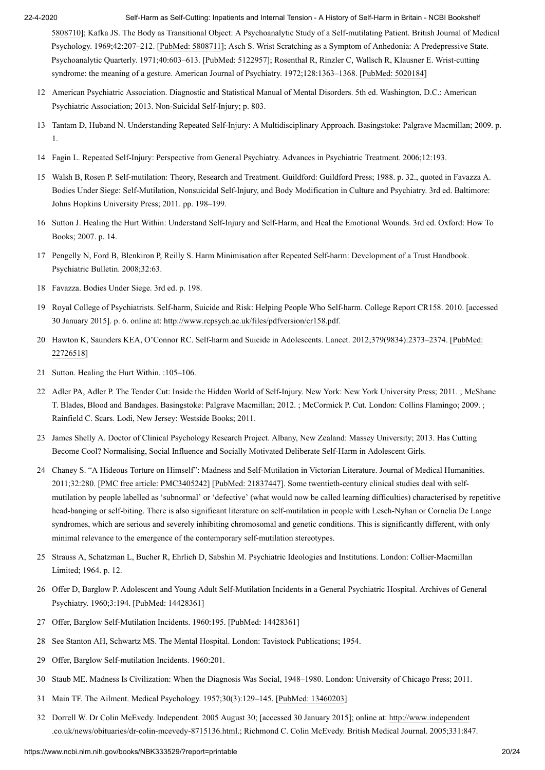5808710]; Kafka JS. The Body as Transitional Object: A Psychoanalytic Study of a [Self-mutilating](https://www.ncbi.nlm.nih.gov/pubmed/5808710) Patient. British Journal of Medical Psychology. 1969;42:207–212. [\[PubMed:](https://www.ncbi.nlm.nih.gov/pubmed/5808711) 5808711]; Asch S. Wrist Scratching as a Symptom of Anhedonia: A Predepressive State. Psychoanalytic Quarterly. 1971;40:603–613. [\[PubMed:](https://www.ncbi.nlm.nih.gov/pubmed/5122957) 5122957]; Rosenthal R, Rinzler C, Wallsch R, Klausner E. Wrist-cutting syndrome: the meaning of a gesture. American Journal of Psychiatry. 1972;128:1363–1368. [[PubMed:](https://www.ncbi.nlm.nih.gov/pubmed/5020184) 5020184]

- 12 American Psychiatric Association. Diagnostic and Statistical Manual of Mental Disorders. 5th ed. Washington, D.C.: American Psychiatric Association; 2013. Non-Suicidal Self-Injury; p. 803.
- 13 Tantam D, Huband N. Understanding Repeated Self-Injury: A Multidisciplinary Approach. Basingstoke: Palgrave Macmillan; 2009. p. 1.
- 14 Fagin L. Repeated Self-Injury: Perspective from General Psychiatry. Advances in Psychiatric Treatment. 2006;12:193.
- 15 Walsh B, Rosen P. Self-mutilation: Theory, Research and Treatment. Guildford: Guildford Press; 1988. p. 32., quoted in Favazza A. Bodies Under Siege: Self-Mutilation, Nonsuicidal Self-Injury, and Body Modification in Culture and Psychiatry. 3rd ed. Baltimore: Johns Hopkins University Press; 2011. pp. 198–199.
- 16 Sutton J. Healing the Hurt Within: Understand Self-Injury and Self-Harm, and Heal the Emotional Wounds. 3rd ed. Oxford: How To Books; 2007. p. 14.
- 17 Pengelly N, Ford B, Blenkiron P, Reilly S. Harm Minimisation after Repeated Self-harm: Development of a Trust Handbook. Psychiatric Bulletin. 2008;32:63.
- 18 Favazza. Bodies Under Siege. 3rd ed. p. 198.
- 19 Royal College of Psychiatrists. Self-harm, Suicide and Risk: Helping People Who Self-harm. College Report CR158. 2010. [accessed 30 January 2015]. p. 6. online at: <http://www.rcpsych.ac.uk/files/pdfversion/cr158.pdf>.
- 20 Hawton K, Saunders KEA, O'Connor RC. Self-harm and Suicide in Adolescents. Lancet. [2012;379\(9834\):2373–2374.](https://www.ncbi.nlm.nih.gov/pubmed/22726518) [PubMed: 22726518]
- 21 Sutton. Healing the Hurt Within. :105–106.
- 22 Adler PA, Adler P. The Tender Cut: Inside the Hidden World of Self-Injury. New York: New York University Press; 2011. ; McShane T. Blades, Blood and Bandages. Basingstoke: Palgrave Macmillan; 2012. ; McCormick P. Cut. London: Collins Flamingo; 2009. ; Rainfield C. Scars. Lodi, New Jersey: Westside Books; 2011.
- 23 James Shelly A. Doctor of Clinical Psychology Research Project. Albany, New Zealand: Massey University; 2013. Has Cutting Become Cool? Normalising, Social Influence and Socially Motivated Deliberate Self-Harm in Adolescent Girls.
- 24 Chaney S. "A Hideous Torture on Himself": Madness and Self-Mutilation in Victorian Literature. Journal of Medical Humanities. 2011;32:280. [PMC free article: [PMC3405242\]](https://www.ncbi.nlm.nih.gov/pmc/articles/PMC3405242/) [PubMed: [21837447\]](https://www.ncbi.nlm.nih.gov/pubmed/21837447). Some twentieth-century clinical studies deal with selfmutilation by people labelled as 'subnormal' or 'defective' (what would now be called learning difficulties) characterised by repetitive head-banging or self-biting. There is also significant literature on self-mutilation in people with Lesch-Nyhan or Cornelia De Lange syndromes, which are serious and severely inhibiting chromosomal and genetic conditions. This is significantly different, with only minimal relevance to the emergence of the contemporary self-mutilation stereotypes.
- 25 Strauss A, Schatzman L, Bucher R, Ehrlich D, Sabshin M. Psychiatric Ideologies and Institutions. London: Collier-Macmillan Limited; 1964. p. 12.
- 26 Offer D, Barglow P. Adolescent and Young Adult Self-Mutilation Incidents in a General Psychiatric Hospital. Archives of General Psychiatry. 1960;3:194. [PubMed: [14428361](https://www.ncbi.nlm.nih.gov/pubmed/14428361)]
- 27 Offer, Barglow Self-Mutilation Incidents. 1960:195. [PubMed: [14428361](https://www.ncbi.nlm.nih.gov/pubmed/14428361)]
- 28 See Stanton AH, Schwartz MS. The Mental Hospital. London: Tavistock Publications; 1954.
- 29 Offer, Barglow Self-mutilation Incidents. 1960:201.
- 30 Staub ME. Madness Is Civilization: When the Diagnosis Was Social, 1948–1980. London: University of Chicago Press; 2011.
- 31 Main TF. The Ailment. Medical Psychology. 1957;30(3):129–145. [PubMed: [13460203](https://www.ncbi.nlm.nih.gov/pubmed/13460203)]
- 32 Dorrell W. Dr Colin McEvedy. Independent. 2005 August 30; [accessed 30 January 2015]; online at: http://www.independent [.co.uk/news/obituaries/dr-colin-mcevedy-8715136.html.;](http://www.independent.co.uk/news/obituaries/dr-colin-mcevedy-8715136.html) Richmond C. Colin McEvedy. British Medical Journal. 2005;331:847.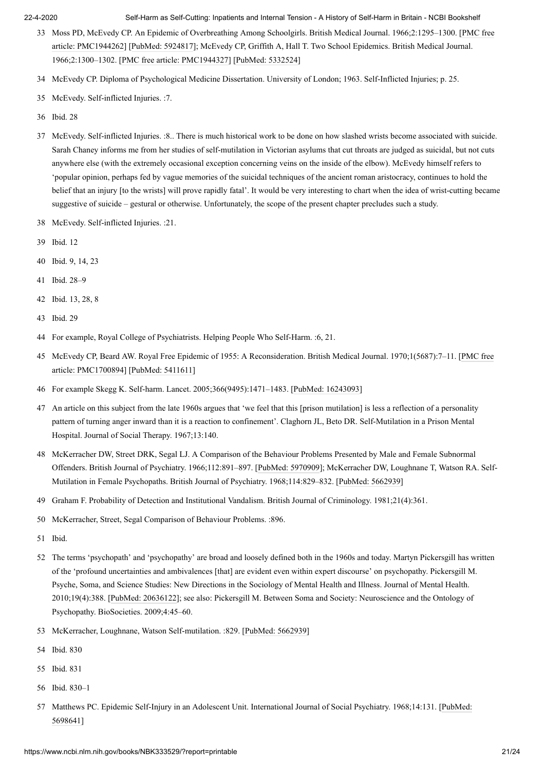- 33 Moss PD, McEvedy CP. An Epidemic of Overbreathing Among Schoolgirls. British Medical Journal. [1966;2:1295–1300.](https://www.ncbi.nlm.nih.gov/pmc/articles/PMC1944262/) [PMC free article: PMC1944262] [[PubMed:](https://www.ncbi.nlm.nih.gov/pubmed/5924817) 5924817]; McEvedy CP, Griffith A, Hall T. Two School Epidemics. British Medical Journal. 1966;2:1300–1302. [PMC free article: [PMC1944327\]](https://www.ncbi.nlm.nih.gov/pmc/articles/PMC1944327/) [[PubMed:](https://www.ncbi.nlm.nih.gov/pubmed/5332524) 5332524]
- 34 McEvedy CP. Diploma of Psychological Medicine Dissertation. University of London; 1963. Self-Inflicted Injuries; p. 25.
- 35 McEvedy. Self-inflicted Injuries. :7.
- 36 Ibid. 28
- 37 McEvedy. Self-inflicted Injuries. :8.. There is much historical work to be done on how slashed wrists become associated with suicide. Sarah Chaney informs me from her studies of self-mutilation in Victorian asylums that cut throats are judged as suicidal, but not cuts anywhere else (with the extremely occasional exception concerning veins on the inside of the elbow). McEvedy himself refers to 'popular opinion, perhaps fed by vague memories of the suicidal techniques of the ancient roman aristocracy, continues to hold the belief that an injury [to the wrists] will prove rapidly fatal'. It would be very interesting to chart when the idea of wrist-cutting became suggestive of suicide – gestural or otherwise. Unfortunately, the scope of the present chapter precludes such a study.
- 38 McEvedy. Self-inflicted Injuries. :21.
- 39 Ibid. 12
- 40 Ibid. 9, 14, 23
- 41 Ibid. 28–9
- 42 Ibid. 13, 28, 8
- 43 Ibid. 29
- 44 For example, Royal College of Psychiatrists. Helping People Who Self-Harm. :6, 21.
- 45 McEvedy CP, Beard AW. Royal Free Epidemic of 1955: A Reconsideration. British Medical Journal. [1970;1\(5687\):7–11.](https://www.ncbi.nlm.nih.gov/pmc/articles/PMC1700894/) [PMC free article: PMC1700894] [[PubMed:](https://www.ncbi.nlm.nih.gov/pubmed/5411611) 5411611]
- 46 For example Skegg K. Self-harm. Lancet. 2005;366(9495):1471–1483. [PubMed: [16243093\]](https://www.ncbi.nlm.nih.gov/pubmed/16243093)
- 47 An article on this subject from the late 1960s argues that 'we feel that this [prison mutilation] is less a reflection of a personality pattern of turning anger inward than it is a reaction to confinement'. Claghorn JL, Beto DR. Self-Mutilation in a Prison Mental Hospital. Journal of Social Therapy. 1967;13:140.
- 48 McKerracher DW, Street DRK, Segal LJ. A Comparison of the Behaviour Problems Presented by Male and Female Subnormal Offenders. British Journal of Psychiatry. 1966;112:891–897. [[PubMed:](https://www.ncbi.nlm.nih.gov/pubmed/5970909) 5970909]; McKerracher DW, Loughnane T, Watson RA. Self-Mutilation in Female Psychopaths. British Journal of Psychiatry. 1968;114:829–832. [\[PubMed:](https://www.ncbi.nlm.nih.gov/pubmed/5662939) 5662939]
- 49 Graham F. Probability of Detection and Institutional Vandalism. British Journal of Criminology. 1981;21(4):361.
- 50 McKerracher, Street, Segal Comparison of Behaviour Problems. :896.
- 51 Ibid.
- 52 The terms 'psychopath' and 'psychopathy' are broad and loosely defined both in the 1960s and today. Martyn Pickersgill has written of the 'profound uncertainties and ambivalences [that] are evident even within expert discourse' on psychopathy. Pickersgill M. Psyche, Soma, and Science Studies: New Directions in the Sociology of Mental Health and Illness. Journal of Mental Health. 2010;19(4):388. [PubMed: [20636122\]](https://www.ncbi.nlm.nih.gov/pubmed/20636122); see also: Pickersgill M. Between Soma and Society: Neuroscience and the Ontology of Psychopathy. BioSocieties. 2009;4:45–60.
- 53 McKerracher, Loughnane, Watson Self-mutilation. :829. [[PubMed:](https://www.ncbi.nlm.nih.gov/pubmed/5662939) 5662939]
- 54 Ibid. 830
- 55 Ibid. 831
- 56 Ibid. 830–1
- 57 Matthews PC. Epidemic Self-Injury in an Adolescent Unit. International Journal of Social Psychiatry. [1968;14:131.](https://www.ncbi.nlm.nih.gov/pubmed/5698641) [PubMed: 5698641]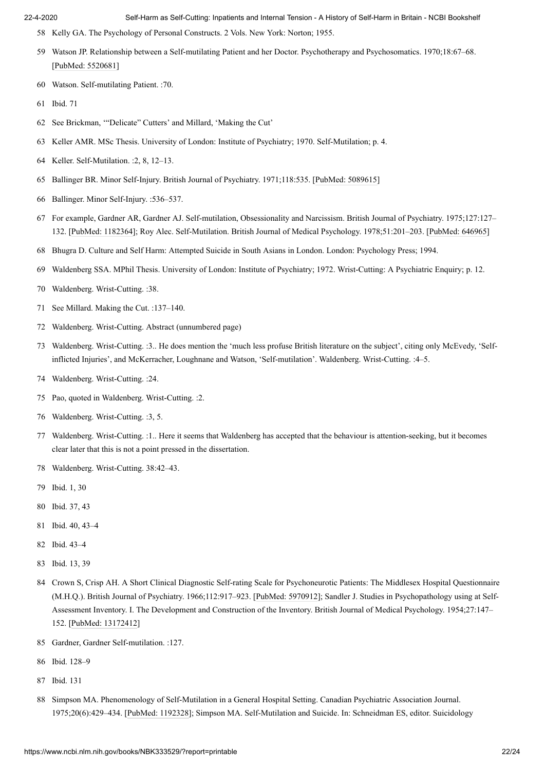- 58 Kelly GA. The Psychology of Personal Constructs. 2 Vols. New York: Norton; 1955.
- 59 Watson JP. Relationship between a Self-mutilating Patient and her Doctor. Psychotherapy and Psychosomatics. 1970;18:67–68. [[PubMed:](https://www.ncbi.nlm.nih.gov/pubmed/5520681) 5520681]
- 60 Watson. Self-mutilating Patient. :70.
- 61 Ibid. 71
- 62 See Brickman, '"Delicate" Cutters' and Millard, 'Making the Cut'
- 63 Keller AMR. MSc Thesis. University of London: Institute of Psychiatry; 1970. Self-Mutilation; p. 4.
- 64 Keller. Self-Mutilation. :2, 8, 12–13.
- 65 Ballinger BR. Minor Self-Injury. British Journal of Psychiatry. 1971;118:535. [\[PubMed:](https://www.ncbi.nlm.nih.gov/pubmed/5089615) 5089615]
- 66 Ballinger. Minor Self-Injury. :536–537.
- 67 For example, Gardner AR, Gardner AJ. Self-mutilation, Obsessionality and Narcissism. British Journal of Psychiatry. 1975;127:127– 132. [[PubMed:](https://www.ncbi.nlm.nih.gov/pubmed/1182364) 1182364]; Roy Alec. Self-Mutilation. British Journal of Medical Psychology. 1978;51:201–203. [[PubMed:](https://www.ncbi.nlm.nih.gov/pubmed/646965) 646965]
- 68 Bhugra D. Culture and Self Harm: Attempted Suicide in South Asians in London. London: Psychology Press; 1994.
- 69 Waldenberg SSA. MPhil Thesis. University of London: Institute of Psychiatry; 1972. Wrist-Cutting: A Psychiatric Enquiry; p. 12.
- 70 Waldenberg. Wrist-Cutting. :38.
- 71 See Millard. Making the Cut. :137–140.
- 72 Waldenberg. Wrist-Cutting. Abstract (unnumbered page)
- 73 Waldenberg. Wrist-Cutting. :3.. He does mention the 'much less profuse British literature on the subject', citing only McEvedy, 'Selfinflicted Injuries', and McKerracher, Loughnane and Watson, 'Self-mutilation'. Waldenberg. Wrist-Cutting. :4–5.
- 74 Waldenberg. Wrist-Cutting. :24.
- 75 Pao, quoted in Waldenberg. Wrist-Cutting. :2.
- 76 Waldenberg. Wrist-Cutting. :3, 5.
- 77 Waldenberg. Wrist-Cutting. :1.. Here it seems that Waldenberg has accepted that the behaviour is attention-seeking, but it becomes clear later that this is not a point pressed in the dissertation.
- 78 Waldenberg. Wrist-Cutting. 38:42–43.
- 79 Ibid. 1, 30
- 80 Ibid. 37, 43
- 81 Ibid. 40, 43–4
- 82 Ibid. 43–4
- 83 Ibid. 13, 39
- 84 Crown S, Crisp AH. A Short Clinical Diagnostic Self-rating Scale for Psychoneurotic Patients: The Middlesex Hospital Questionnaire (M.H.Q.). British Journal of Psychiatry. 1966;112:917–923. [[PubMed:](https://www.ncbi.nlm.nih.gov/pubmed/5970912) 5970912]; Sandler J. Studies in Psychopathology using at Self-Assessment Inventory. I. The Development and Construction of the Inventory. British Journal of Medical Psychology. 1954;27:147– 152. [PubMed: [13172412\]](https://www.ncbi.nlm.nih.gov/pubmed/13172412)
- 85 Gardner, Gardner Self-mutilation. :127.
- 86 Ibid. 128–9
- 87 Ibid. 131
- 88 Simpson MA. Phenomenology of Self-Mutilation in a General Hospital Setting. Canadian Psychiatric Association Journal. 1975;20(6):429–434. [\[PubMed:](https://www.ncbi.nlm.nih.gov/pubmed/1192328) 1192328]; Simpson MA. Self-Mutilation and Suicide. In: Schneidman ES, editor. Suicidology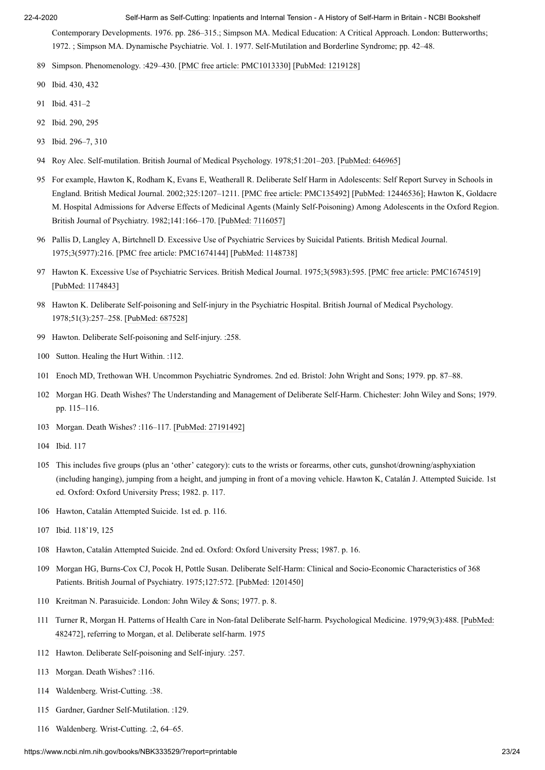Contemporary Developments. 1976. pp. 286–315.; Simpson MA. Medical Education: A Critical Approach. London: Butterworths; 1972. ; Simpson MA. Dynamische Psychiatrie. Vol. 1. 1977. Self-Mutilation and Borderline Syndrome; pp. 42–48.

- 89 Simpson. Phenomenology. :429–430. [PMC free article: [PMC1013330\]](https://www.ncbi.nlm.nih.gov/pmc/articles/PMC1013330/) [\[PubMed:](https://www.ncbi.nlm.nih.gov/pubmed/1219128) 1219128]
- 90 Ibid. 430, 432
- 91 Ibid. 431–2
- 92 Ibid. 290, 295
- 93 Ibid. 296–7, 310
- 94 Roy Alec. Self-mutilation. British Journal of Medical Psychology. 1978;51:201–203. [[PubMed:](https://www.ncbi.nlm.nih.gov/pubmed/646965) 646965]
- 95 For example, Hawton K, Rodham K, Evans E, Weatherall R. Deliberate Self Harm in Adolescents: Self Report Survey in Schools in England. British Medical Journal. 2002;325:1207–1211. [PMC free article: [PMC135492](https://www.ncbi.nlm.nih.gov/pmc/articles/PMC135492/)] [PubMed: [12446536](https://www.ncbi.nlm.nih.gov/pubmed/12446536)]; Hawton K, Goldacre M. Hospital Admissions for Adverse Effects of Medicinal Agents (Mainly Self-Poisoning) Among Adolescents in the Oxford Region. British Journal of Psychiatry. 1982;141:166–170. [[PubMed:](https://www.ncbi.nlm.nih.gov/pubmed/7116057) 7116057]
- 96 Pallis D, Langley A, Birtchnell D. Excessive Use of Psychiatric Services by Suicidal Patients. British Medical Journal. 1975;3(5977):216. [PMC free article: [PMC1674144](https://www.ncbi.nlm.nih.gov/pmc/articles/PMC1674144/)] [[PubMed:](https://www.ncbi.nlm.nih.gov/pubmed/1148738) 1148738]
- 97 Hawton K. Excessive Use of Psychiatric Services. British Medical Journal. 1975;3(5983):595. [PMC free article: [PMC1674519](https://www.ncbi.nlm.nih.gov/pmc/articles/PMC1674519/)] [[PubMed:](https://www.ncbi.nlm.nih.gov/pubmed/1174843) 1174843]
- 98 Hawton K. Deliberate Self-poisoning and Self-injury in the Psychiatric Hospital. British Journal of Medical Psychology. 1978;51(3):257–258. [\[PubMed:](https://www.ncbi.nlm.nih.gov/pubmed/687528) 687528]
- 99 Hawton. Deliberate Self-poisoning and Self-injury. :258.
- 100 Sutton. Healing the Hurt Within. :112.
- 101 Enoch MD, Trethowan WH. Uncommon Psychiatric Syndromes. 2nd ed. Bristol: John Wright and Sons; 1979. pp. 87–88.
- 102 Morgan HG. Death Wishes? The Understanding and Management of Deliberate Self-Harm. Chichester: John Wiley and Sons; 1979. pp. 115–116.
- 103 Morgan. Death Wishes? :116–117. [PubMed: [27191492](https://www.ncbi.nlm.nih.gov/pubmed/27191492)]
- 104 Ibid. 117
- 105 This includes five groups (plus an 'other' category): cuts to the wrists or forearms, other cuts, gunshot/drowning/asphyxiation (including hanging), jumping from a height, and jumping in front of a moving vehicle. Hawton K, Catalán J. Attempted Suicide. 1st ed. Oxford: Oxford University Press; 1982. p. 117.
- 106 Hawton, Catalán Attempted Suicide. 1st ed. p. 116.
- 107 Ibid. 118'19, 125
- 108 Hawton, Catalán Attempted Suicide. 2nd ed. Oxford: Oxford University Press; 1987. p. 16.
- 109 Morgan HG, Burns-Cox CJ, Pocok H, Pottle Susan. Deliberate Self-Harm: Clinical and Socio-Economic Characteristics of 368 Patients. British Journal of Psychiatry. 1975;127:572. [\[PubMed:](https://www.ncbi.nlm.nih.gov/pubmed/1201450) 1201450]
- 110 Kreitman N. Parasuicide. London: John Wiley & Sons; 1977. p. 8.
- 111 Turner R, Morgan H. Patterns of Health Care in Non-fatal Deliberate Self-harm. Psychological Medicine. [1979;9\(3\):488.](https://www.ncbi.nlm.nih.gov/pubmed/482472) [PubMed: 482472], referring to Morgan, et al. Deliberate self-harm. 1975
- 112 Hawton. Deliberate Self-poisoning and Self-injury. :257.
- 113 Morgan. Death Wishes? :116.
- 114 Waldenberg. Wrist-Cutting. :38.
- 115 Gardner, Gardner Self-Mutilation. :129.
- 116 Waldenberg. Wrist-Cutting. :2, 64–65.